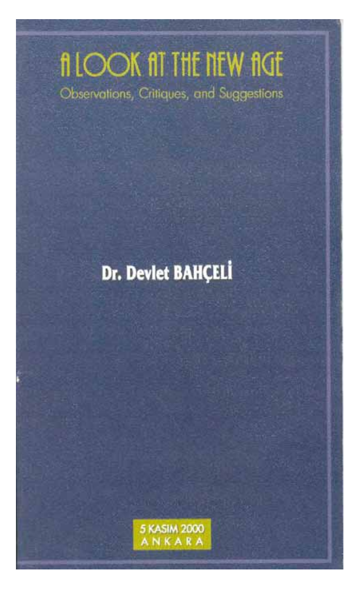# filook fit the new fige Observations, Critiques, and Suggestions

## Dr. Devlet BAHÇELİ

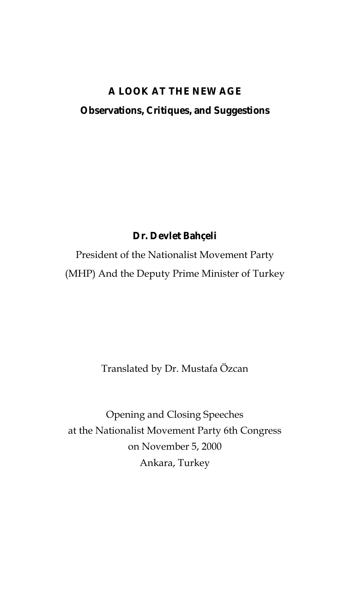## **A LOOK AT THE NEW AGE Observations, Critiques, and Suggestions**

**Dr. Devlet Bahçeli**

President of the Nationalist Movement Party (MHP) And the Deputy Prime Minister of Turkey

Translated by Dr. Mustafa Özcan

Opening and Closing Speeches at the Nationalist Movement Party 6th Congress on November 5, 2000 Ankara, Turkey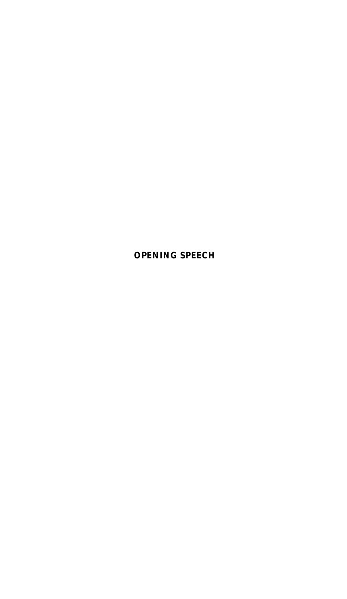**OPENING SPEECH**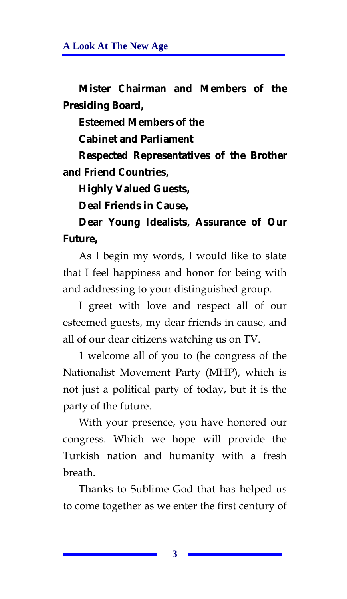**Mister Chairman and Members of the Presiding Board,** 

**Esteemed Members of the** 

**Cabinet and Parliament** 

**Respected Representatives of the Brother and Friend Countries,** 

**Highly Valued Guests,** 

**Deal Friends in Cause,** 

**Dear Young Idealists, Assurance of Our Future,** 

As I begin my words, I would like to slate that I feel happiness and honor for being with and addressing to your distinguished group.

I greet with love and respect all of our esteemed guests, my dear friends in cause, and all of our dear citizens watching us on TV.

1 welcome all of you to (he congress of the Nationalist Movement Party (MHP), which is not just a political party of today, but it is the party of the future.

With your presence, you have honored our congress. Which we hope will provide the Turkish nation and humanity with a fresh breath.

Thanks to Sublime God that has helped us to come together as we enter the first century of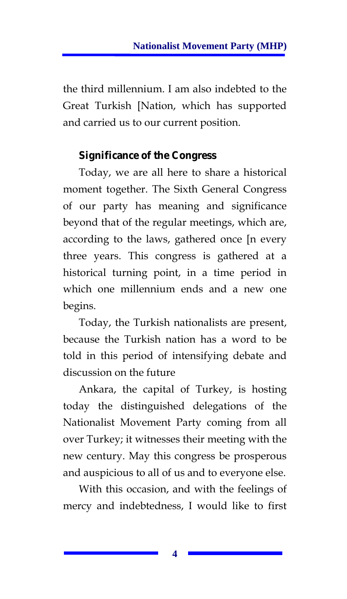the third millennium. I am also indebted to the Great Turkish [Nation, which has supported and carried us to our current position.

## **Significance of the Congress**

Today, we are all here to share a historical moment together. The Sixth General Congress of our party has meaning and significance beyond that of the regular meetings, which are, according to the laws, gathered once [n every three years. This congress is gathered at a historical turning point, in a time period in which one millennium ends and a new one begins.

Today, the Turkish nationalists are present, because the Turkish nation has a word to be told in this period of intensifying debate and discussion on the future

Ankara, the capital of Turkey, is hosting today the distinguished delegations of the Nationalist Movement Party coming from all over Turkey; it witnesses their meeting with the new century. May this congress be prosperous and auspicious to all of us and to everyone else.

With this occasion, and with the feelings of mercy and indebtedness, I would like to first

**4**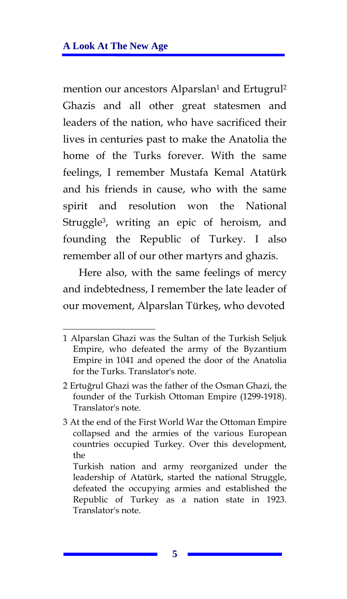mention our ancestors Alparslan<sup>1</sup> and Ertugrul<sup>2</sup> Ghazis and all other great statesmen and leaders of the nation, who have sacrificed their lives in centuries past to make the Anatolia the home of the Turks forever. With the same feelings, I remember Mustafa Kemal Atatürk and his friends in cause, who with the same spirit and resolution won the National Struggle3, writing an epic of heroism, and founding the Republic of Turkey. I also remember all of our other martyrs and ghazis.

Here also, with the same feelings of mercy and indebtedness, I remember the late leader of our movement, Alparslan Türkeş, who devoted

<sup>1</sup> Alparslan Ghazi was the Sultan of the Turkish Seljuk Empire, who defeated the army of the Byzantium Empire in 1041 and opened the door of the Anatolia for the Turks. Translator's note.

<sup>2</sup> Ertuğrul Ghazi was the father of the Osman Ghazi, the founder of the Turkish Ottoman Empire (1299-1918). Translator's note.

<sup>3</sup> At the end of the First World War the Ottoman Empire collapsed and the armies of the various European countries occupied Turkey. Over this development, the

Turkish nation and army reorganized under the leadership of Atatürk, started the national Struggle, defeated the occupying armies and established the Republic of Turkey as a nation state in 1923. Translator's note.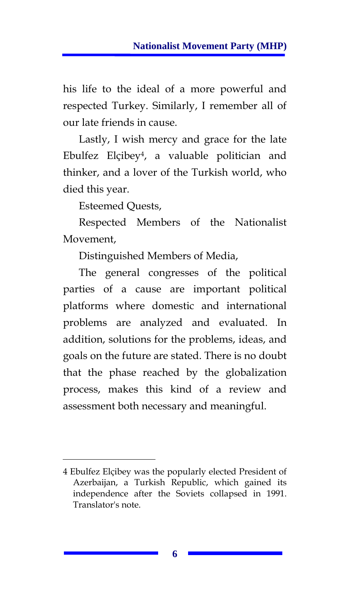his life to the ideal of a more powerful and respected Turkey. Similarly, I remember all of our late friends in cause.

Lastly, I wish mercy and grace for the late Ebulfez Elçibey4, a valuable politician and thinker, and a lover of the Turkish world, who died this year.

Esteemed Quests,

Respected Members of the Nationalist Movement,

Distinguished Members of Media,

The general congresses of the political parties of a cause are important political platforms where domestic and international problems are analyzed and evaluated. In addition, solutions for the problems, ideas, and goals on the future are stated. There is no doubt that the phase reached by the globalization process, makes this kind of a review and assessment both necessary and meaningful.

<sup>4</sup> Ebulfez Elçibey was the popularly elected President of Azerbaijan, a Turkish Republic, which gained its independence after the Soviets collapsed in 1991. Translator's note.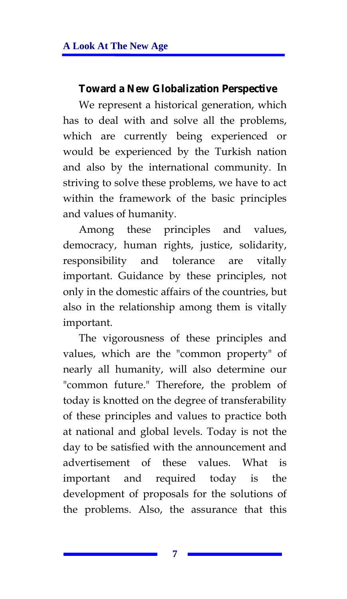## **Toward a New Globalization Perspective**

We represent a historical generation, which has to deal with and solve all the problems, which are currently being experienced or would be experienced by the Turkish nation and also by the international community. In striving to solve these problems, we have to act within the framework of the basic principles and values of humanity.

Among these principles and values, democracy, human rights, justice, solidarity, responsibility and tolerance are vitally important. Guidance by these principles, not only in the domestic affairs of the countries, but also in the relationship among them is vitally important.

The vigorousness of these principles and values, which are the "common property" of nearly all humanity, will also determine our "common future." Therefore, the problem of today is knotted on the degree of transferability of these principles and values to practice both at national and global levels. Today is not the day to be satisfied with the announcement and advertisement of these values. What is important and required today is the development of proposals for the solutions of the problems. Also, the assurance that this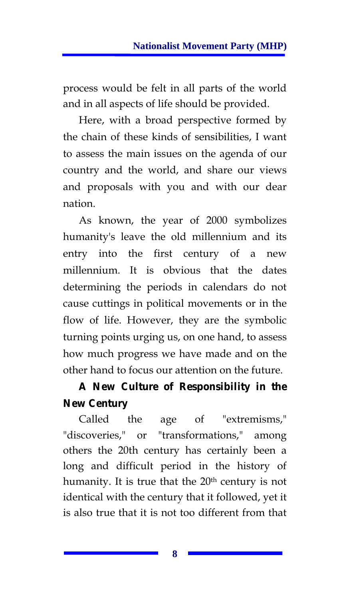process would be felt in all parts of the world and in all aspects of life should be provided.

Here, with a broad perspective formed by the chain of these kinds of sensibilities, I want to assess the main issues on the agenda of our country and the world, and share our views and proposals with you and with our dear nation.

As known, the year of 2000 symbolizes humanity's leave the old millennium and its entry into the first century of a new millennium. It is obvious that the dates determining the periods in calendars do not cause cuttings in political movements or in the flow of life. However, they are the symbolic turning points urging us, on one hand, to assess how much progress we have made and on the other hand to focus our attention on the future.

## **A New Culture of Responsibility in the New Century**

Called the age of "extremisms," "discoveries," or "transformations," among others the 20th century has certainly been a long and difficult period in the history of humanity. It is true that the 20<sup>th</sup> century is not identical with the century that it followed, yet it is also true that it is not too different from that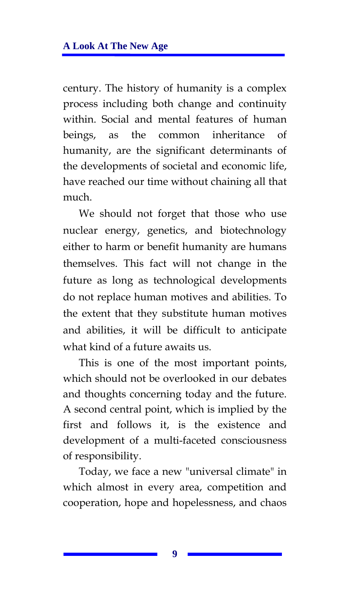century. The history of humanity is a complex process including both change and continuity within. Social and mental features of human beings, as the common inheritance of humanity, are the significant determinants of the developments of societal and economic life, have reached our time without chaining all that much.

We should not forget that those who use nuclear energy, genetics, and biotechnology either to harm or benefit humanity are humans themselves. This fact will not change in the future as long as technological developments do not replace human motives and abilities. To the extent that they substitute human motives and abilities, it will be difficult to anticipate what kind of a future awaits us.

This is one of the most important points, which should not be overlooked in our debates and thoughts concerning today and the future. A second central point, which is implied by the first and follows it, is the existence and development of a multi-faceted consciousness of responsibility.

Today, we face a new "universal climate" in which almost in every area, competition and cooperation, hope and hopelessness, and chaos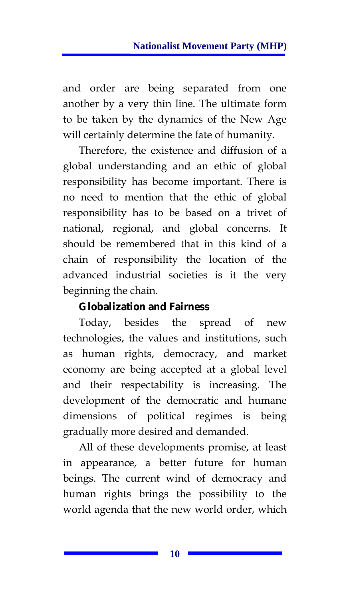and order are being separated from one another by a very thin line. The ultimate form to be taken by the dynamics of the New Age will certainly determine the fate of humanity.

Therefore, the existence and diffusion of a global understanding and an ethic of global responsibility has become important. There is no need to mention that the ethic of global responsibility has to be based on a trivet of national, regional, and global concerns. It should be remembered that in this kind of a chain of responsibility the location of the advanced industrial societies is it the very beginning the chain.

### **Globalization and Fairness**

Today, besides the spread of new technologies, the values and institutions, such as human rights, democracy, and market economy are being accepted at a global level and their respectability is increasing. The development of the democratic and humane dimensions of political regimes is being gradually more desired and demanded.

All of these developments promise, at least in appearance, a better future for human beings. The current wind of democracy and human rights brings the possibility to the world agenda that the new world order, which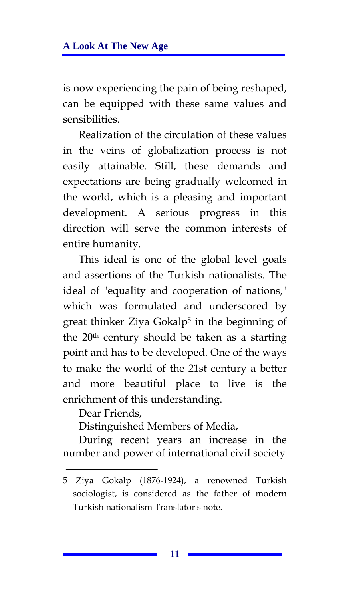is now experiencing the pain of being reshaped, can be equipped with these same values and sensibilities.

Realization of the circulation of these values in the veins of globalization process is not easily attainable. Still, these demands and expectations are being gradually welcomed in the world, which is a pleasing and important development. A serious progress in this direction will serve the common interests of entire humanity.

This ideal is one of the global level goals and assertions of the Turkish nationalists. The ideal of "equality and cooperation of nations," which was formulated and underscored by great thinker Ziya Gokalp5 in the beginning of the 20<sup>th</sup> century should be taken as a starting point and has to be developed. One of the ways to make the world of the 21st century a better and more beautiful place to live is the enrichment of this understanding.

Dear Friends,

Distinguished Members of Media,

During recent years an increase in the number and power of international civil society

<sup>5</sup> Ziya Gokalp (1876-1924), a renowned Turkish sociologist, is considered as the father of modern Turkish nationalism Translator's note.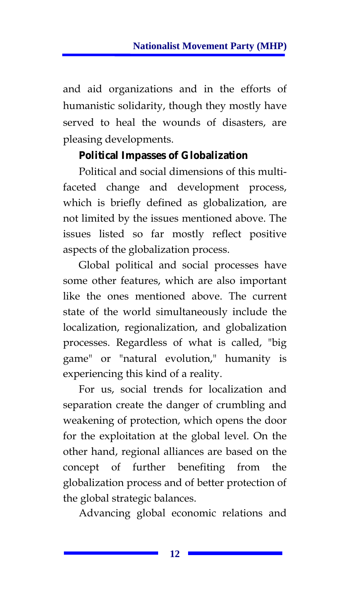and aid organizations and in the efforts of humanistic solidarity, though they mostly have served to heal the wounds of disasters, are pleasing developments.

## **Political Impasses of Globalization**

Political and social dimensions of this multifaceted change and development process, which is briefly defined as globalization, are not limited by the issues mentioned above. The issues listed so far mostly reflect positive aspects of the globalization process.

Global political and social processes have some other features, which are also important like the ones mentioned above. The current state of the world simultaneously include the localization, regionalization, and globalization processes. Regardless of what is called, "big game" or "natural evolution," humanity is experiencing this kind of a reality.

For us, social trends for localization and separation create the danger of crumbling and weakening of protection, which opens the door for the exploitation at the global level. On the other hand, regional alliances are based on the concept of further benefiting from the globalization process and of better protection of the global strategic balances.

Advancing global economic relations and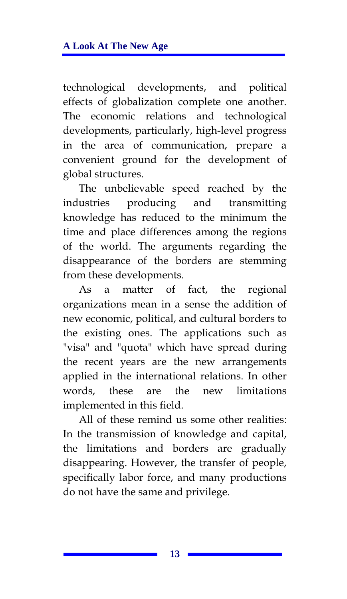technological developments, and political effects of globalization complete one another. The economic relations and technological developments, particularly, high-level progress in the area of communication, prepare a convenient ground for the development of global structures.

The unbelievable speed reached by the industries producing and transmitting knowledge has reduced to the minimum the time and place differences among the regions of the world. The arguments regarding the disappearance of the borders are stemming from these developments.

As a matter of fact, the regional organizations mean in a sense the addition of new economic, political, and cultural borders to the existing ones. The applications such as "visa" and "quota" which have spread during the recent years are the new arrangements applied in the international relations. In other words, these are the new limitations implemented in this field.

All of these remind us some other realities: In the transmission of knowledge and capital, the limitations and borders are gradually disappearing. However, the transfer of people, specifically labor force, and many productions do not have the same and privilege.

**13**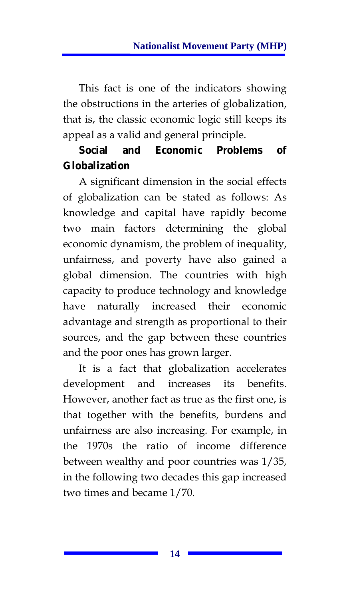This fact is one of the indicators showing the obstructions in the arteries of globalization, that is, the classic economic logic still keeps its appeal as a valid and general principle.

## **Social and Economic Problems of Globalization**

A significant dimension in the social effects of globalization can be stated as follows: As knowledge and capital have rapidly become two main factors determining the global economic dynamism, the problem of inequality, unfairness, and poverty have also gained a global dimension. The countries with high capacity to produce technology and knowledge have naturally increased their economic advantage and strength as proportional to their sources, and the gap between these countries and the poor ones has grown larger.

It is a fact that globalization accelerates development and increases its benefits. However, another fact as true as the first one, is that together with the benefits, burdens and unfairness are also increasing. For example, in the 1970s the ratio of income difference between wealthy and poor countries was 1/35, in the following two decades this gap increased two times and became 1/70.

**14**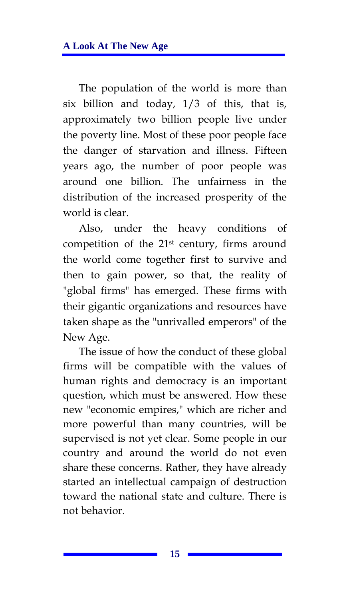The population of the world is more than six billion and today, 1/3 of this, that is, approximately two billion people live under the poverty line. Most of these poor people face the danger of starvation and illness. Fifteen years ago, the number of poor people was around one billion. The unfairness in the distribution of the increased prosperity of the world is clear.

Also, under the heavy conditions of competition of the 21st century, firms around the world come together first to survive and then to gain power, so that, the reality of "global firms" has emerged. These firms with their gigantic organizations and resources have taken shape as the "unrivalled emperors" of the New Age.

The issue of how the conduct of these global firms will be compatible with the values of human rights and democracy is an important question, which must be answered. How these new "economic empires," which are richer and more powerful than many countries, will be supervised is not yet clear. Some people in our country and around the world do not even share these concerns. Rather, they have already started an intellectual campaign of destruction toward the national state and culture. There is not behavior.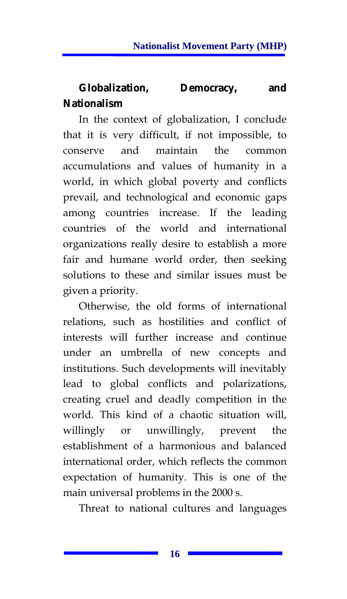## **Globalization, Democracy, and Nationalism**

In the context of globalization, I conclude that it is very difficult, if not impossible, to conserve and maintain the common accumulations and values of humanity in a world, in which global poverty and conflicts prevail, and technological and economic gaps among countries increase. If the leading countries of the world and international organizations really desire to establish a more fair and humane world order, then seeking solutions to these and similar issues must be given a priority.

Otherwise, the old forms of international relations, such as hostilities and conflict of interests will further increase and continue under an umbrella of new concepts and institutions. Such developments will inevitably lead to global conflicts and polarizations, creating cruel and deadly competition in the world. This kind of a chaotic situation will, willingly or unwillingly, prevent the establishment of a harmonious and balanced international order, which reflects the common expectation of humanity. This is one of the main universal problems in the 2000 s.

Threat to national cultures and languages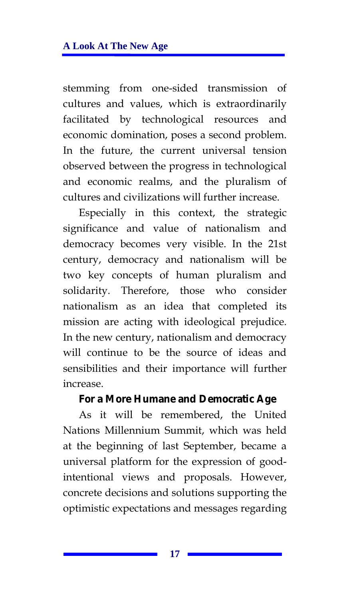stemming from one-sided transmission of cultures and values, which is extraordinarily facilitated by technological resources and economic domination, poses a second problem. In the future, the current universal tension observed between the progress in technological and economic realms, and the pluralism of cultures and civilizations will further increase.

Especially in this context, the strategic significance and value of nationalism and democracy becomes very visible. In the 21st century, democracy and nationalism will be two key concepts of human pluralism and solidarity. Therefore, those who consider nationalism as an idea that completed its mission are acting with ideological prejudice. In the new century, nationalism and democracy will continue to be the source of ideas and sensibilities and their importance will further increase.

#### **For a More Humane and Democratic Age**

As it will be remembered, the United Nations Millennium Summit, which was held at the beginning of last September, became a universal platform for the expression of goodintentional views and proposals. However, concrete decisions and solutions supporting the optimistic expectations and messages regarding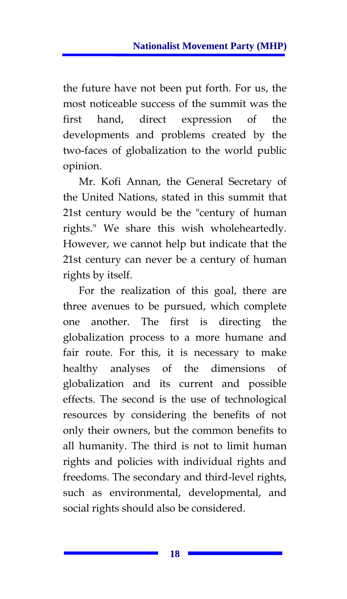the future have not been put forth. For us, the most noticeable success of the summit was the first hand, direct expression of the developments and problems created by the two-faces of globalization to the world public opinion.

Mr. Kofi Annan, the General Secretary of the United Nations, stated in this summit that 21st century would be the "century of human rights." We share this wish wholeheartedly. However, we cannot help but indicate that the 21st century can never be a century of human rights by itself.

For the realization of this goal, there are three avenues to be pursued, which complete one another. The first is directing the globalization process to a more humane and fair route. For this, it is necessary to make healthy analyses of the dimensions of globalization and its current and possible effects. The second is the use of technological resources by considering the benefits of not only their owners, but the common benefits to all humanity. The third is not to limit human rights and policies with individual rights and freedoms. The secondary and third-level rights, such as environmental, developmental, and social rights should also be considered.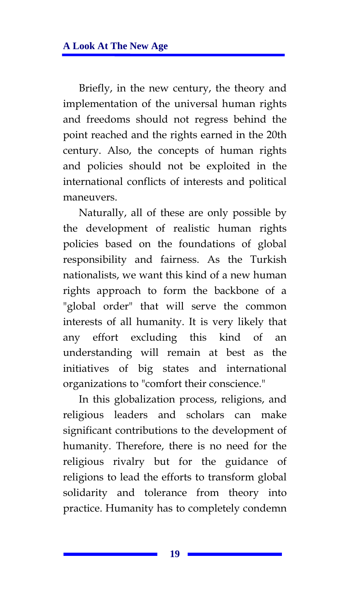Briefly, in the new century, the theory and implementation of the universal human rights and freedoms should not regress behind the point reached and the rights earned in the 20th century. Also, the concepts of human rights and policies should not be exploited in the international conflicts of interests and political maneuvers.

Naturally, all of these are only possible by the development of realistic human rights policies based on the foundations of global responsibility and fairness. As the Turkish nationalists, we want this kind of a new human rights approach to form the backbone of a "global order" that will serve the common interests of all humanity. It is very likely that any effort excluding this kind of an understanding will remain at best as the initiatives of big states and international organizations to "comfort their conscience."

In this globalization process, religions, and religious leaders and scholars can make significant contributions to the development of humanity. Therefore, there is no need for the religious rivalry but for the guidance of religions to lead the efforts to transform global solidarity and tolerance from theory into practice. Humanity has to completely condemn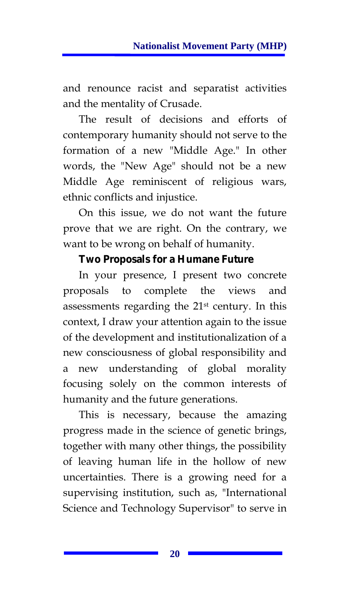and renounce racist and separatist activities and the mentality of Crusade.

The result of decisions and efforts of contemporary humanity should not serve to the formation of a new "Middle Age." In other words, the "New Age" should not be a new Middle Age reminiscent of religious wars, ethnic conflicts and injustice.

On this issue, we do not want the future prove that we are right. On the contrary, we want to be wrong on behalf of humanity.

### **Two Proposals for a Humane Future**

In your presence, I present two concrete proposals to complete the views and assessments regarding the 21st century. In this context, I draw your attention again to the issue of the development and institutionalization of a new consciousness of global responsibility and a new understanding of global morality focusing solely on the common interests of humanity and the future generations.

This is necessary, because the amazing progress made in the science of genetic brings, together with many other things, the possibility of leaving human life in the hollow of new uncertainties. There is a growing need for a supervising institution, such as, "International Science and Technology Supervisor" to serve in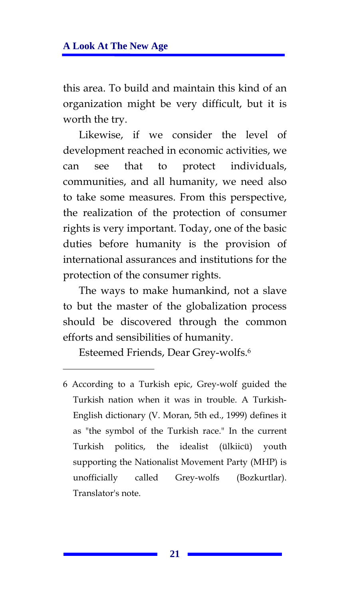this area. To build and maintain this kind of an organization might be very difficult, but it is worth the try.

Likewise, if we consider the level of development reached in economic activities, we can see that to protect individuals, communities, and all humanity, we need also to take some measures. From this perspective, the realization of the protection of consumer rights is very important. Today, one of the basic duties before humanity is the provision of international assurances and institutions for the protection of the consumer rights.

The ways to make humankind, not a slave to but the master of the globalization process should be discovered through the common efforts and sensibilities of humanity.

Esteemed Friends, Dear Grey-wolfs.6

<sup>6</sup> According to a Turkish epic, Grey-wolf guided the Turkish nation when it was in trouble. A Turkish-English dictionary (V. Moran, 5th ed., 1999) defines it as "the symbol of the Turkish race." In the current Turkish politics, the idealist (ülkiicü) youth supporting the Nationalist Movement Party (MHP) is unofficially called Grey-wolfs (Bozkurtlar). Translator's note.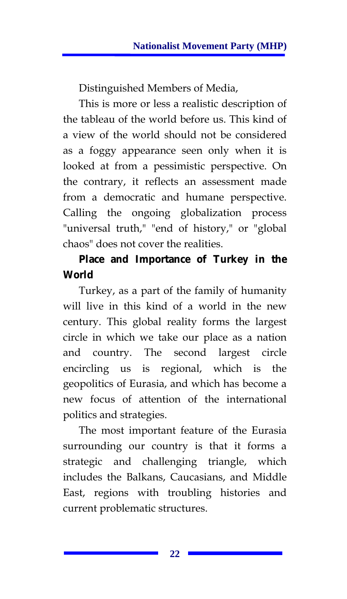Distinguished Members of Media,

This is more or less a realistic description of the tableau of the world before us. This kind of a view of the world should not be considered as a foggy appearance seen only when it is looked at from a pessimistic perspective. On the contrary, it reflects an assessment made from a democratic and humane perspective. Calling the ongoing globalization process "universal truth," "end of history," or "global chaos" does not cover the realities.

## **Place and Importance of Turkey in the World**

Turkey, as a part of the family of humanity will live in this kind of a world in the new century. This global reality forms the largest circle in which we take our place as a nation and country. The second largest circle encircling us is regional, which is the geopolitics of Eurasia, and which has become a new focus of attention of the international politics and strategies.

The most important feature of the Eurasia surrounding our country is that it forms a strategic and challenging triangle, which includes the Balkans, Caucasians, and Middle East, regions with troubling histories and current problematic structures.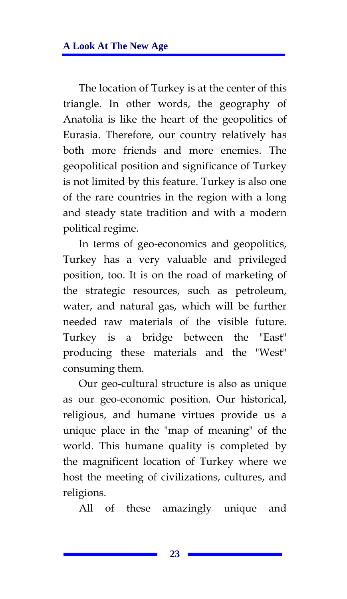The location of Turkey is at the center of this triangle. In other words, the geography of Anatolia is like the heart of the geopolitics of Eurasia. Therefore, our country relatively has both more friends and more enemies. The geopolitical position and significance of Turkey is not limited by this feature. Turkey is also one of the rare countries in the region with a long and steady state tradition and with a modern political regime.

In terms of geo-economics and geopolitics, Turkey has a very valuable and privileged position, too. It is on the road of marketing of the strategic resources, such as petroleum, water, and natural gas, which will be further needed raw materials of the visible future. Turkey is a bridge between the "East" producing these materials and the "West" consuming them.

Our geo-cultural structure is also as unique as our geo-economic position. Our historical, religious, and humane virtues provide us a unique place in the "map of meaning" of the world. This humane quality is completed by the magnificent location of Turkey where we host the meeting of civilizations, cultures, and religions.

All of these amazingly unique and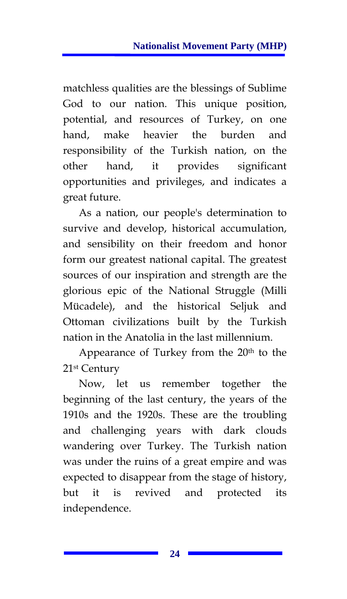matchless qualities are the blessings of Sublime God to our nation. This unique position, potential, and resources of Turkey, on one hand, make heavier the burden and responsibility of the Turkish nation, on the other hand, it provides significant opportunities and privileges, and indicates a great future.

As a nation, our people's determination to survive and develop, historical accumulation, and sensibility on their freedom and honor form our greatest national capital. The greatest sources of our inspiration and strength are the glorious epic of the National Struggle (Milli Mücadele), and the historical Seljuk and Ottoman civilizations built by the Turkish nation in the Anatolia in the last millennium.

Appearance of Turkey from the  $20<sup>th</sup>$  to the 21st Century

Now, let us remember together the beginning of the last century, the years of the 1910s and the 1920s. These are the troubling and challenging years with dark clouds wandering over Turkey. The Turkish nation was under the ruins of a great empire and was expected to disappear from the stage of history, but it is revived and protected its independence.

**24**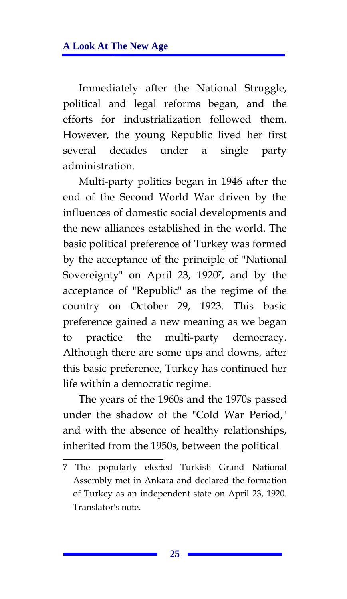Immediately after the National Struggle, political and legal reforms began, and the efforts for industrialization followed them. However, the young Republic lived her first several decades under a single party administration.

Multi-party politics began in 1946 after the end of the Second World War driven by the influences of domestic social developments and the new alliances established in the world. The basic political preference of Turkey was formed by the acceptance of the principle of "National Sovereignty" on April 23, 19207, and by the acceptance of "Republic" as the regime of the country on October 29, 1923. This basic preference gained a new meaning as we began to practice the multi-party democracy. Although there are some ups and downs, after this basic preference, Turkey has continued her life within a democratic regime.

The years of the 1960s and the 1970s passed under the shadow of the "Cold War Period," and with the absence of healthy relationships, inherited from the 1950s, between the political

<sup>7</sup> The popularly elected Turkish Grand National Assembly met in Ankara and declared the formation of Turkey as an independent state on April 23, 1920. Translator's note.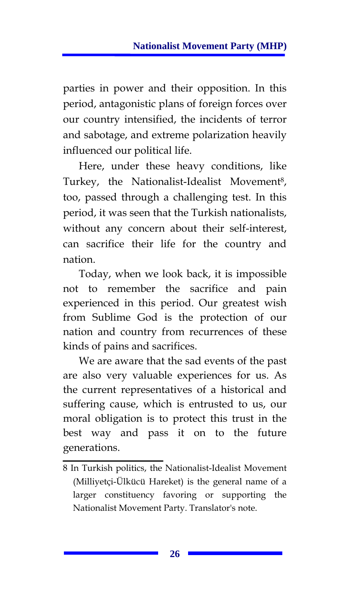parties in power and their opposition. In this period, antagonistic plans of foreign forces over our country intensified, the incidents of terror and sabotage, and extreme polarization heavily influenced our political life.

Here, under these heavy conditions, like Turkey, the Nationalist-Idealist Movement<sup>8</sup>, too, passed through a challenging test. In this period, it was seen that the Turkish nationalists, without any concern about their self-interest, can sacrifice their life for the country and nation.

Today, when we look back, it is impossible not to remember the sacrifice and pain experienced in this period. Our greatest wish from Sublime God is the protection of our nation and country from recurrences of these kinds of pains and sacrifices.

We are aware that the sad events of the past are also very valuable experiences for us. As the current representatives of a historical and suffering cause, which is entrusted to us, our moral obligation is to protect this trust in the best way and pass it on to the future generations.

<sup>8</sup> In Turkish politics, the Nationalist-Idealist Movement (Milliyetçi-Ülkücü Hareket) is the general name of a larger constituency favoring or supporting the Nationalist Movement Party. Translator's note.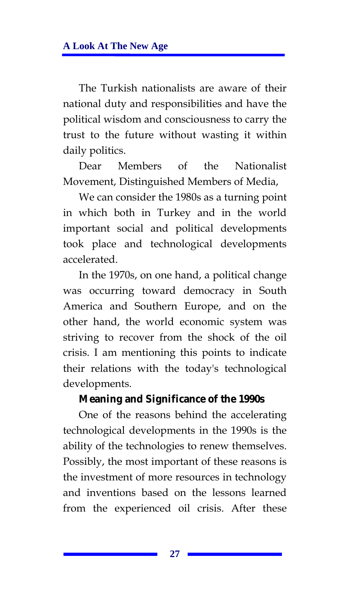The Turkish nationalists are aware of their national duty and responsibilities and have the political wisdom and consciousness to carry the trust to the future without wasting it within daily politics.

Dear Members of the Nationalist Movement, Distinguished Members of Media,

We can consider the 1980s as a turning point in which both in Turkey and in the world important social and political developments took place and technological developments accelerated.

In the 1970s, on one hand, a political change was occurring toward democracy in South America and Southern Europe, and on the other hand, the world economic system was striving to recover from the shock of the oil crisis. I am mentioning this points to indicate their relations with the today's technological developments.

#### **Meaning and Significance of the 1990s**

One of the reasons behind the accelerating technological developments in the 1990s is the ability of the technologies to renew themselves. Possibly, the most important of these reasons is the investment of more resources in technology and inventions based on the lessons learned from the experienced oil crisis. After these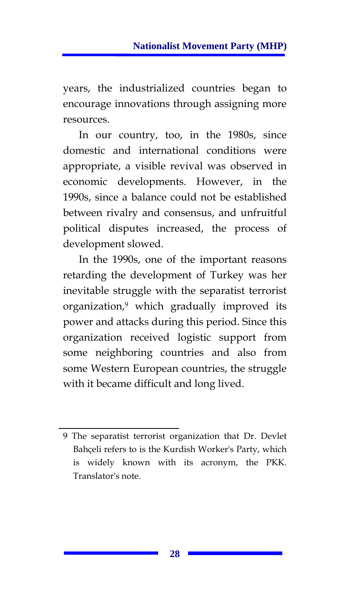years, the industrialized countries began to encourage innovations through assigning more resources.

In our country, too, in the 1980s, since domestic and international conditions were appropriate, a visible revival was observed in economic developments. However, in the 1990s, since a balance could not be established between rivalry and consensus, and unfruitful political disputes increased, the process of development slowed.

In the 1990s, one of the important reasons retarding the development of Turkey was her inevitable struggle with the separatist terrorist organization,9 which gradually improved its power and attacks during this period. Since this organization received logistic support from some neighboring countries and also from some Western European countries, the struggle with it became difficult and long lived.

<sup>9</sup> The separatist terrorist organization that Dr. Devlet Bahçeli refers to is the Kurdish Worker's Party, which is widely known with its acronym, the PKK. Translator's note.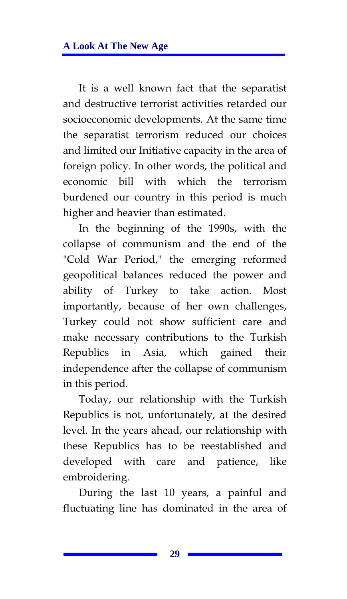It is a well known fact that the separatist and destructive terrorist activities retarded our socioeconomic developments. At the same time the separatist terrorism reduced our choices and limited our Initiative capacity in the area of foreign policy. In other words, the political and economic bill with which the terrorism burdened our country in this period is much higher and heavier than estimated.

In the beginning of the 1990s, with the collapse of communism and the end of the "Cold War Period," the emerging reformed geopolitical balances reduced the power and ability of Turkey to take action. Most importantly, because of her own challenges, Turkey could not show sufficient care and make necessary contributions to the Turkish Republics in Asia, which gained their independence after the collapse of communism in this period.

Today, our relationship with the Turkish Republics is not, unfortunately, at the desired level. In the years ahead, our relationship with these Republics has to be reestablished and developed with care and patience, like embroidering.

During the last 10 years, a painful and fluctuating line has dominated in the area of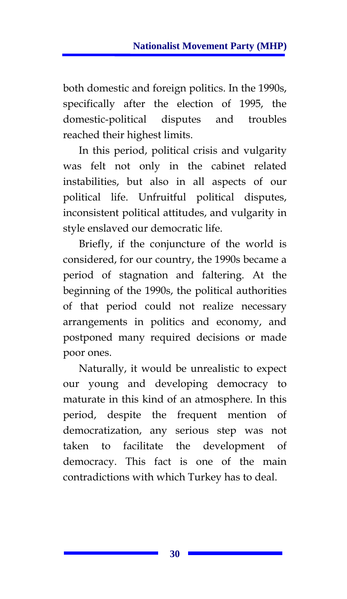both domestic and foreign politics. In the 1990s, specifically after the election of 1995, the domestic-political disputes and troubles reached their highest limits.

In this period, political crisis and vulgarity was felt not only in the cabinet related instabilities, but also in all aspects of our political life. Unfruitful political disputes, inconsistent political attitudes, and vulgarity in style enslaved our democratic life.

Briefly, if the conjuncture of the world is considered, for our country, the 1990s became a period of stagnation and faltering. At the beginning of the 1990s, the political authorities of that period could not realize necessary arrangements in politics and economy, and postponed many required decisions or made poor ones.

Naturally, it would be unrealistic to expect our young and developing democracy to maturate in this kind of an atmosphere. In this period, despite the frequent mention of democratization, any serious step was not taken to facilitate the development of democracy. This fact is one of the main contradictions with which Turkey has to deal.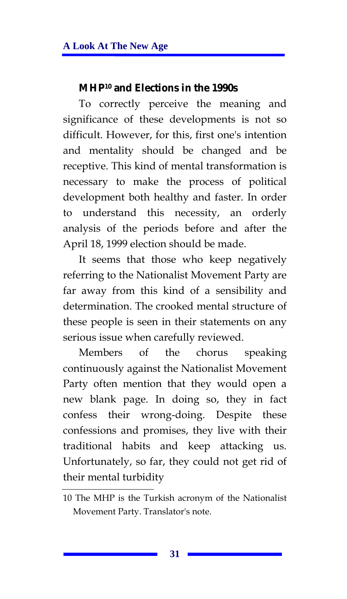#### **MHP10 and Elections in the 1990s**

To correctly perceive the meaning and significance of these developments is not so difficult. However, for this, first one's intention and mentality should be changed and be receptive. This kind of mental transformation is necessary to make the process of political development both healthy and faster. In order to understand this necessity, an orderly analysis of the periods before and after the April 18, 1999 election should be made.

It seems that those who keep negatively referring to the Nationalist Movement Party are far away from this kind of a sensibility and determination. The crooked mental structure of these people is seen in their statements on any serious issue when carefully reviewed.

Members of the chorus speaking continuously against the Nationalist Movement Party often mention that they would open a new blank page. In doing so, they in fact confess their wrong-doing. Despite these confessions and promises, they live with their traditional habits and keep attacking us. Unfortunately, so far, they could not get rid of their mental turbidity

<sup>10</sup> The MHP is the Turkish acronym of the Nationalist Movement Party. Translator's note.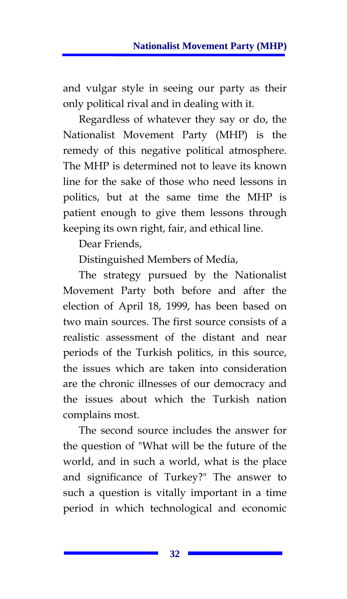and vulgar style in seeing our party as their only political rival and in dealing with it.

Regardless of whatever they say or do, the Nationalist Movement Party (MHP) is the remedy of this negative political atmosphere. The MHP is determined not to leave its known line for the sake of those who need lessons in politics, but at the same time the MHP is patient enough to give them lessons through keeping its own right, fair, and ethical line.

Dear Friends,

Distinguished Members of Media,

The strategy pursued by the Nationalist Movement Party both before and after the election of April 18, 1999, has been based on two main sources. The first source consists of a realistic assessment of the distant and near periods of the Turkish politics, in this source, the issues which are taken into consideration are the chronic illnesses of our democracy and the issues about which the Turkish nation complains most.

The second source includes the answer for the question of "What will be the future of the world, and in such a world, what is the place and significance of Turkey?" The answer to such a question is vitally important in a time period in which technological and economic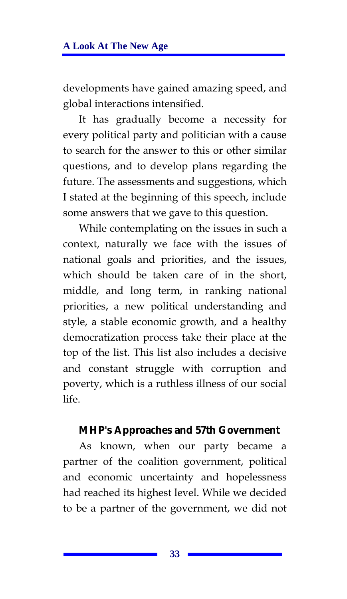developments have gained amazing speed, and global interactions intensified.

It has gradually become a necessity for every political party and politician with a cause to search for the answer to this or other similar questions, and to develop plans regarding the future. The assessments and suggestions, which I stated at the beginning of this speech, include some answers that we gave to this question.

While contemplating on the issues in such a context, naturally we face with the issues of national goals and priorities, and the issues, which should be taken care of in the short, middle, and long term, in ranking national priorities, a new political understanding and style, a stable economic growth, and a healthy democratization process take their place at the top of the list. This list also includes a decisive and constant struggle with corruption and poverty, which is a ruthless illness of our social life.

#### **MHP's Approaches and 57th Government**

As known, when our party became a partner of the coalition government, political and economic uncertainty and hopelessness had reached its highest level. While we decided to be a partner of the government, we did not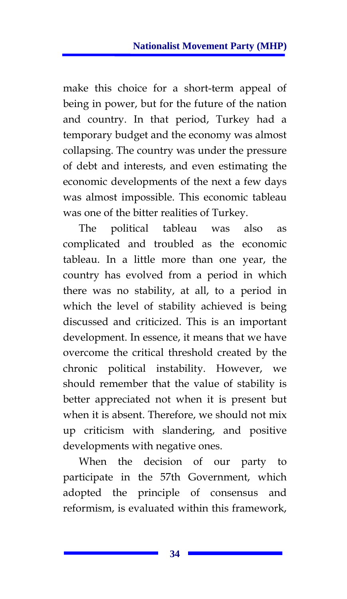make this choice for a short-term appeal of being in power, but for the future of the nation and country. In that period, Turkey had a temporary budget and the economy was almost collapsing. The country was under the pressure of debt and interests, and even estimating the economic developments of the next a few days was almost impossible. This economic tableau was one of the bitter realities of Turkey.

The political tableau was also as complicated and troubled as the economic tableau. In a little more than one year, the country has evolved from a period in which there was no stability, at all, to a period in which the level of stability achieved is being discussed and criticized. This is an important development. In essence, it means that we have overcome the critical threshold created by the chronic political instability. However, we should remember that the value of stability is better appreciated not when it is present but when it is absent. Therefore, we should not mix up criticism with slandering, and positive developments with negative ones.

When the decision of our party to participate in the 57th Government, which adopted the principle of consensus and reformism, is evaluated within this framework,

**34**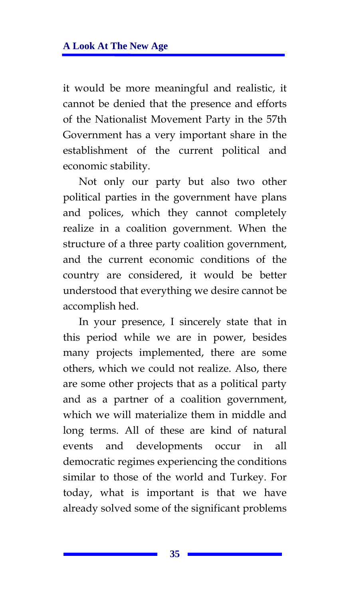it would be more meaningful and realistic, it cannot be denied that the presence and efforts of the Nationalist Movement Party in the 57th Government has a very important share in the establishment of the current political and economic stability.

Not only our party but also two other political parties in the government have plans and polices, which they cannot completely realize in a coalition government. When the structure of a three party coalition government, and the current economic conditions of the country are considered, it would be better understood that everything we desire cannot be accomplish hed.

In your presence, I sincerely state that in this period while we are in power, besides many projects implemented, there are some others, which we could not realize. Also, there are some other projects that as a political party and as a partner of a coalition government, which we will materialize them in middle and long terms. All of these are kind of natural events and developments occur in all democratic regimes experiencing the conditions similar to those of the world and Turkey. For today, what is important is that we have already solved some of the significant problems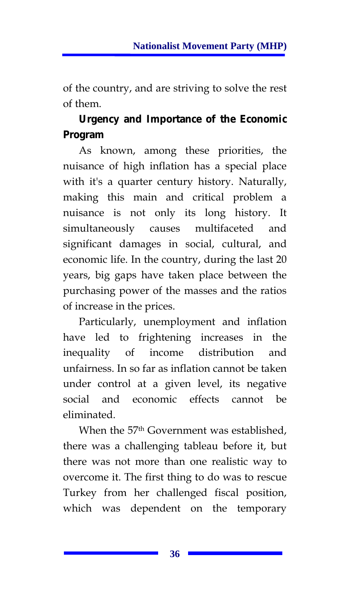of the country, and are striving to solve the rest of them.

# **Urgency and Importance of the Economic Program**

As known, among these priorities, the nuisance of high inflation has a special place with it's a quarter century history. Naturally, making this main and critical problem a nuisance is not only its long history. It simultaneously causes multifaceted and significant damages in social, cultural, and economic life. In the country, during the last 20 years, big gaps have taken place between the purchasing power of the masses and the ratios of increase in the prices.

Particularly, unemployment and inflation have led to frightening increases in the inequality of income distribution and unfairness. In so far as inflation cannot be taken under control at a given level, its negative social and economic effects cannot be eliminated.

When the 57<sup>th</sup> Government was established, there was a challenging tableau before it, but there was not more than one realistic way to overcome it. The first thing to do was to rescue Turkey from her challenged fiscal position, which was dependent on the temporary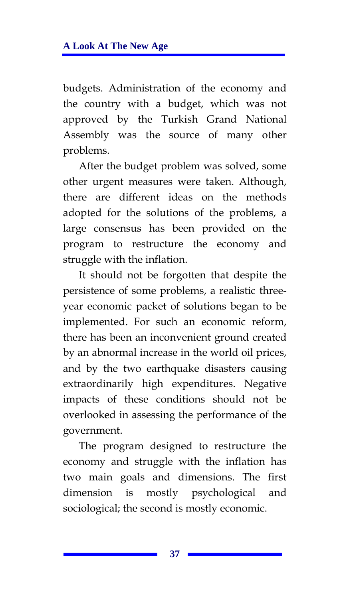budgets. Administration of the economy and the country with a budget, which was not approved by the Turkish Grand National Assembly was the source of many other problems.

After the budget problem was solved, some other urgent measures were taken. Although, there are different ideas on the methods adopted for the solutions of the problems, a large consensus has been provided on the program to restructure the economy and struggle with the inflation.

It should not be forgotten that despite the persistence of some problems, a realistic threeyear economic packet of solutions began to be implemented. For such an economic reform, there has been an inconvenient ground created by an abnormal increase in the world oil prices, and by the two earthquake disasters causing extraordinarily high expenditures. Negative impacts of these conditions should not be overlooked in assessing the performance of the government.

The program designed to restructure the economy and struggle with the inflation has two main goals and dimensions. The first dimension is mostly psychological and sociological; the second is mostly economic.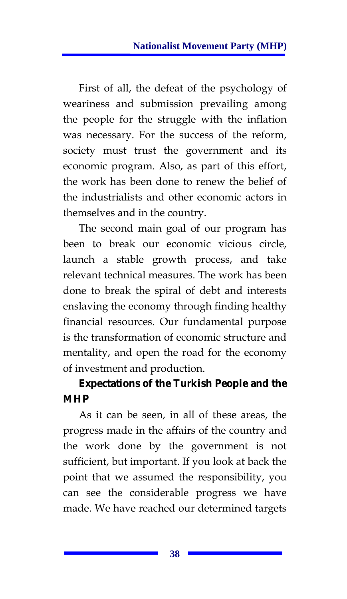First of all, the defeat of the psychology of weariness and submission prevailing among the people for the struggle with the inflation was necessary. For the success of the reform, society must trust the government and its economic program. Also, as part of this effort, the work has been done to renew the belief of the industrialists and other economic actors in themselves and in the country.

The second main goal of our program has been to break our economic vicious circle, launch a stable growth process, and take relevant technical measures. The work has been done to break the spiral of debt and interests enslaving the economy through finding healthy financial resources. Our fundamental purpose is the transformation of economic structure and mentality, and open the road for the economy of investment and production.

# **Expectations of the Turkish People and the MHP**

As it can be seen, in all of these areas, the progress made in the affairs of the country and the work done by the government is not sufficient, but important. If you look at back the point that we assumed the responsibility, you can see the considerable progress we have made. We have reached our determined targets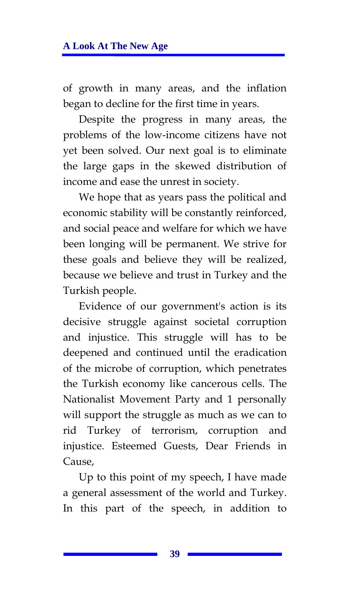of growth in many areas, and the inflation began to decline for the first time in years.

Despite the progress in many areas, the problems of the low-income citizens have not yet been solved. Our next goal is to eliminate the large gaps in the skewed distribution of income and ease the unrest in society.

We hope that as years pass the political and economic stability will be constantly reinforced, and social peace and welfare for which we have been longing will be permanent. We strive for these goals and believe they will be realized, because we believe and trust in Turkey and the Turkish people.

Evidence of our government's action is its decisive struggle against societal corruption and injustice. This struggle will has to be deepened and continued until the eradication of the microbe of corruption, which penetrates the Turkish economy like cancerous cells. The Nationalist Movement Party and 1 personally will support the struggle as much as we can to rid Turkey of terrorism, corruption and injustice. Esteemed Guests, Dear Friends in Cause.

Up to this point of my speech, I have made a general assessment of the world and Turkey. In this part of the speech, in addition to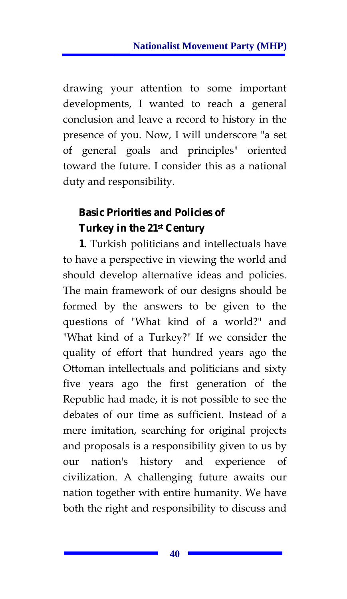drawing your attention to some important developments, I wanted to reach a general conclusion and leave a record to history in the presence of you. Now, I will underscore "a set of general goals and principles" oriented toward the future. I consider this as a national duty and responsibility.

# **Basic Priorities and Policies of Turkey in the 21st Century**

**1**. Turkish politicians and intellectuals have to have a perspective in viewing the world and should develop alternative ideas and policies. The main framework of our designs should be formed by the answers to be given to the questions of "What kind of a world?" and "What kind of a Turkey?" If we consider the quality of effort that hundred years ago the Ottoman intellectuals and politicians and sixty five years ago the first generation of the Republic had made, it is not possible to see the debates of our time as sufficient. Instead of a mere imitation, searching for original projects and proposals is a responsibility given to us by our nation's history and experience of civilization. A challenging future awaits our nation together with entire humanity. We have both the right and responsibility to discuss and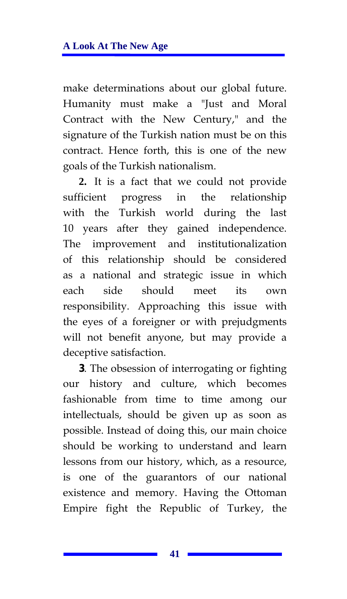make determinations about our global future. Humanity must make a "Just and Moral Contract with the New Century," and the signature of the Turkish nation must be on this contract. Hence forth, this is one of the new goals of the Turkish nationalism.

**2.** It is a fact that we could not provide sufficient progress in the relationship with the Turkish world during the last 10 years after they gained independence. The improvement and institutionalization of this relationship should be considered as a national and strategic issue in which each side should meet its own responsibility. Approaching this issue with the eyes of a foreigner or with prejudgments will not benefit anyone, but may provide a deceptive satisfaction.

**3**. The obsession of interrogating or fighting our history and culture, which becomes fashionable from time to time among our intellectuals, should be given up as soon as possible. Instead of doing this, our main choice should be working to understand and learn lessons from our history, which, as a resource, is one of the guarantors of our national existence and memory. Having the Ottoman Empire fight the Republic of Turkey, the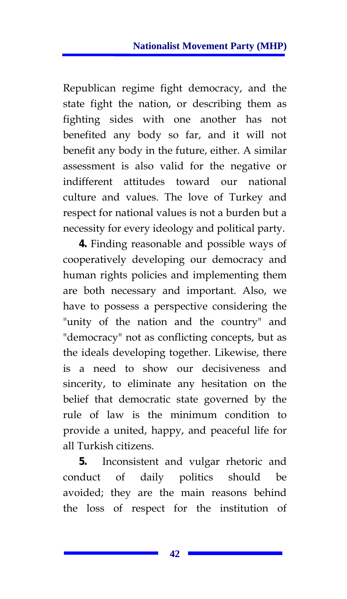Republican regime fight democracy, and the state fight the nation, or describing them as fighting sides with one another has not benefited any body so far, and it will not benefit any body in the future, either. A similar assessment is also valid for the negative or indifferent attitudes toward our national culture and values. The love of Turkey and respect for national values is not a burden but a necessity for every ideology and political party.

**4.** Finding reasonable and possible ways of cooperatively developing our democracy and human rights policies and implementing them are both necessary and important. Also, we have to possess a perspective considering the "unity of the nation and the country" and "democracy" not as conflicting concepts, but as the ideals developing together. Likewise, there is a need to show our decisiveness and sincerity, to eliminate any hesitation on the belief that democratic state governed by the rule of law is the minimum condition to provide a united, happy, and peaceful life for all Turkish citizens.

**5.** Inconsistent and vulgar rhetoric and conduct of daily politics should be avoided; they are the main reasons behind the loss of respect for the institution of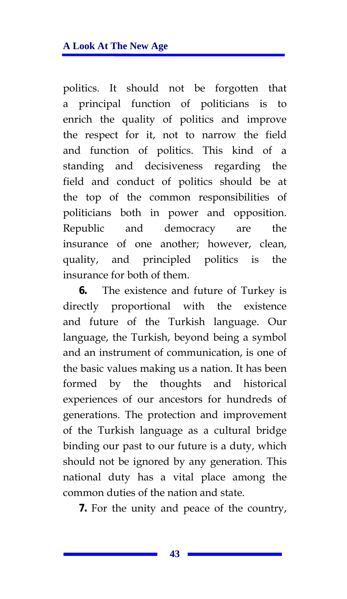politics. It should not be forgotten that a principal function of politicians is to enrich the quality of politics and improve the respect for it, not to narrow the field and function of politics. This kind of a standing and decisiveness regarding the field and conduct of politics should be at the top of the common responsibilities of politicians both in power and opposition. Republic and democracy are the insurance of one another; however, clean, quality, and principled politics is the insurance for both of them.

**6.** The existence and future of Turkey is directly proportional with the existence and future of the Turkish language. Our language, the Turkish, beyond being a symbol and an instrument of communication, is one of the basic values making us a nation. It has been formed by the thoughts and historical experiences of our ancestors for hundreds of generations. The protection and improvement of the Turkish language as a cultural bridge binding our past to our future is a duty, which should not be ignored by any generation. This national duty has a vital place among the common duties of the nation and state.

**7.** For the unity and peace of the country,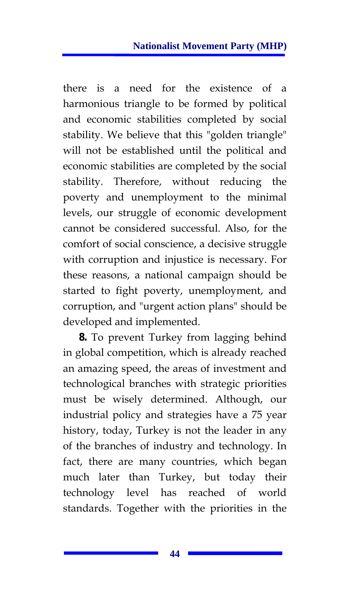there is a need for the existence of a harmonious triangle to be formed by political and economic stabilities completed by social stability. We believe that this "golden triangle" will not be established until the political and economic stabilities are completed by the social stability. Therefore, without reducing the poverty and unemployment to the minimal levels, our struggle of economic development cannot be considered successful. Also, for the comfort of social conscience, a decisive struggle with corruption and injustice is necessary. For these reasons, a national campaign should be started to fight poverty, unemployment, and corruption, and "urgent action plans" should be developed and implemented.

**8.** To prevent Turkey from lagging behind in global competition, which is already reached an amazing speed, the areas of investment and technological branches with strategic priorities must be wisely determined. Although, our industrial policy and strategies have a 75 year history, today, Turkey is not the leader in any of the branches of industry and technology. In fact, there are many countries, which began much later than Turkey, but today their technology level has reached of world standards. Together with the priorities in the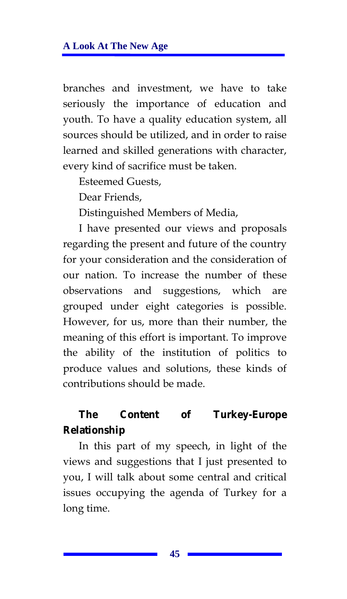branches and investment, we have to take seriously the importance of education and youth. To have a quality education system, all sources should be utilized, and in order to raise learned and skilled generations with character, every kind of sacrifice must be taken.

Esteemed Guests,

Dear Friends,

Distinguished Members of Media,

I have presented our views and proposals regarding the present and future of the country for your consideration and the consideration of our nation. To increase the number of these observations and suggestions, which are grouped under eight categories is possible. However, for us, more than their number, the meaning of this effort is important. To improve the ability of the institution of politics to produce values and solutions, these kinds of contributions should be made.

## **The Content of Turkey-Europe Relationship**

In this part of my speech, in light of the views and suggestions that I just presented to you, I will talk about some central and critical issues occupying the agenda of Turkey for a long time.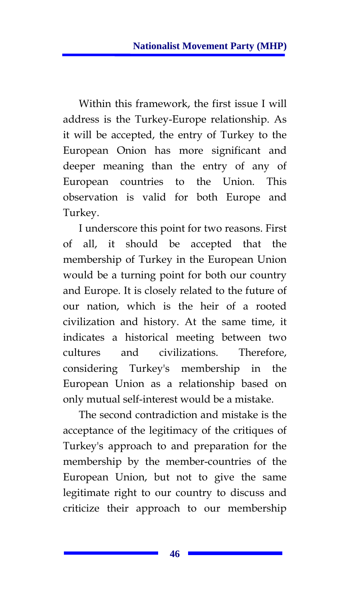Within this framework, the first issue I will address is the Turkey-Europe relationship. As it will be accepted, the entry of Turkey to the European Onion has more significant and deeper meaning than the entry of any of European countries to the Union. This observation is valid for both Europe and Turkey.

I underscore this point for two reasons. First of all, it should be accepted that the membership of Turkey in the European Union would be a turning point for both our country and Europe. It is closely related to the future of our nation, which is the heir of a rooted civilization and history. At the same time, it indicates a historical meeting between two cultures and civilizations. Therefore, considering Turkey's membership in the European Union as a relationship based on only mutual self-interest would be a mistake.

The second contradiction and mistake is the acceptance of the legitimacy of the critiques of Turkey's approach to and preparation for the membership by the member-countries of the European Union, but not to give the same legitimate right to our country to discuss and criticize their approach to our membership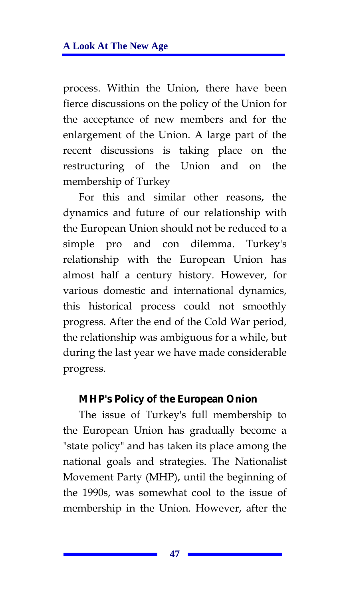process. Within the Union, there have been fierce discussions on the policy of the Union for the acceptance of new members and for the enlargement of the Union. A large part of the recent discussions is taking place on the restructuring of the Union and on the membership of Turkey

For this and similar other reasons, the dynamics and future of our relationship with the European Union should not be reduced to a simple pro and con dilemma. Turkey's relationship with the European Union has almost half a century history. However, for various domestic and international dynamics, this historical process could not smoothly progress. After the end of the Cold War period, the relationship was ambiguous for a while, but during the last year we have made considerable progress.

#### **MHP's Policy of the European Onion**

The issue of Turkey's full membership to the European Union has gradually become a "state policy" and has taken its place among the national goals and strategies. The Nationalist Movement Party (MHP), until the beginning of the 1990s, was somewhat cool to the issue of membership in the Union. However, after the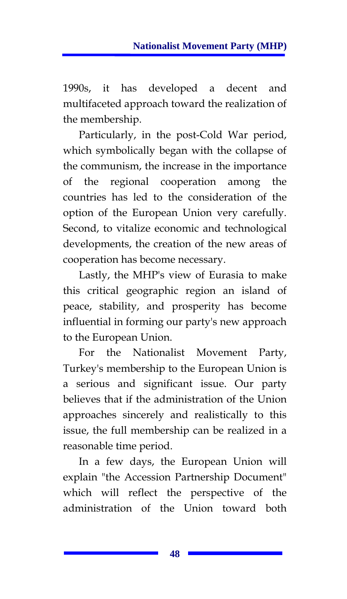1990s, it has developed a decent and multifaceted approach toward the realization of the membership.

Particularly, in the post-Cold War period, which symbolically began with the collapse of the communism, the increase in the importance of the regional cooperation among the countries has led to the consideration of the option of the European Union very carefully. Second, to vitalize economic and technological developments, the creation of the new areas of cooperation has become necessary.

Lastly, the MHP's view of Eurasia to make this critical geographic region an island of peace, stability, and prosperity has become influential in forming our party's new approach to the European Union.

For the Nationalist Movement Party, Turkey's membership to the European Union is a serious and significant issue. Our party believes that if the administration of the Union approaches sincerely and realistically to this issue, the full membership can be realized in a reasonable time period.

In a few days, the European Union will explain "the Accession Partnership Document" which will reflect the perspective of the administration of the Union toward both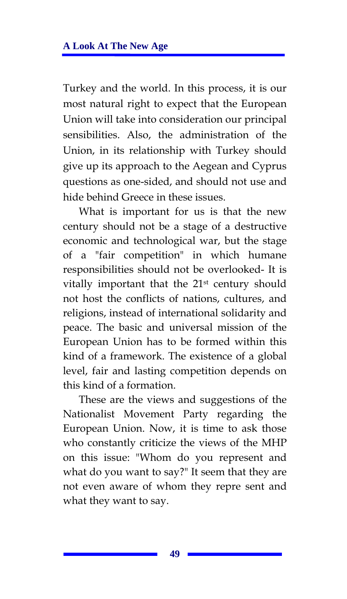Turkey and the world. In this process, it is our most natural right to expect that the European Union will take into consideration our principal sensibilities. Also, the administration of the Union, in its relationship with Turkey should give up its approach to the Aegean and Cyprus questions as one-sided, and should not use and hide behind Greece in these issues.

What is important for us is that the new century should not be a stage of a destructive economic and technological war, but the stage of a "fair competition" in which humane responsibilities should not be overlooked- It is vitally important that the 21st century should not host the conflicts of nations, cultures, and religions, instead of international solidarity and peace. The basic and universal mission of the European Union has to be formed within this kind of a framework. The existence of a global level, fair and lasting competition depends on this kind of a formation.

These are the views and suggestions of the Nationalist Movement Party regarding the European Union. Now, it is time to ask those who constantly criticize the views of the MHP on this issue: "Whom do you represent and what do you want to say?" It seem that they are not even aware of whom they repre sent and what they want to say.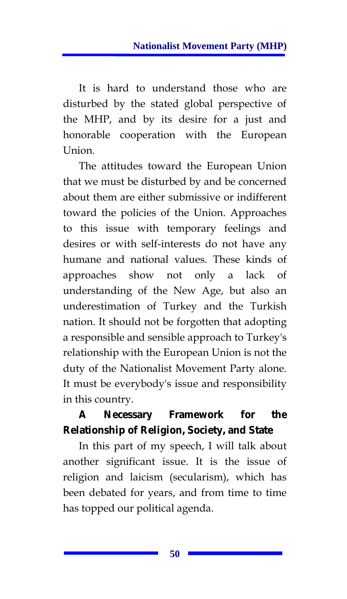It is hard to understand those who are disturbed by the stated global perspective of the MHP, and by its desire for a just and honorable cooperation with the European Union.

The attitudes toward the European Union that we must be disturbed by and be concerned about them are either submissive or indifferent toward the policies of the Union. Approaches to this issue with temporary feelings and desires or with self-interests do not have any humane and national values. These kinds of approaches show not only a lack of understanding of the New Age, but also an underestimation of Turkey and the Turkish nation. It should not be forgotten that adopting a responsible and sensible approach to Turkey's relationship with the European Union is not the duty of the Nationalist Movement Party alone. It must be everybody's issue and responsibility in this country.

## **A Necessary Framework for the Relationship of Religion, Society, and State**

In this part of my speech, I will talk about another significant issue. It is the issue of religion and laicism (secularism), which has been debated for years, and from time to time has topped our political agenda.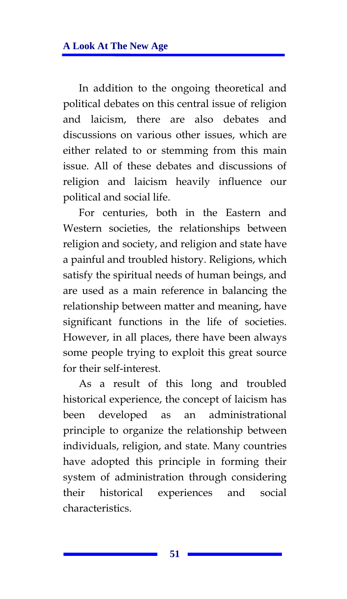In addition to the ongoing theoretical and political debates on this central issue of religion and laicism, there are also debates and discussions on various other issues, which are either related to or stemming from this main issue. All of these debates and discussions of religion and laicism heavily influence our political and social life.

For centuries, both in the Eastern and Western societies, the relationships between religion and society, and religion and state have a painful and troubled history. Religions, which satisfy the spiritual needs of human beings, and are used as a main reference in balancing the relationship between matter and meaning, have significant functions in the life of societies. However, in all places, there have been always some people trying to exploit this great source for their self-interest.

As a result of this long and troubled historical experience, the concept of laicism has been developed as an administrational principle to organize the relationship between individuals, religion, and state. Many countries have adopted this principle in forming their system of administration through considering their historical experiences and social characteristics.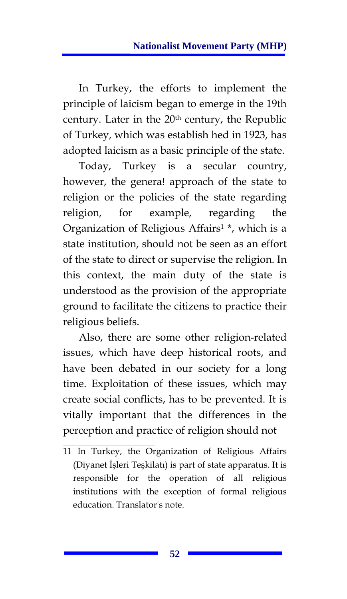In Turkey, the efforts to implement the principle of laicism began to emerge in the 19th century. Later in the 20<sup>th</sup> century, the Republic of Turkey, which was establish hed in 1923, has adopted laicism as a basic principle of the state.

Today, Turkey is a secular country, however, the genera! approach of the state to religion or the policies of the state regarding religion, for example, regarding the Organization of Religious Affairs1 \*, which is a state institution, should not be seen as an effort of the state to direct or supervise the religion. In this context, the main duty of the state is understood as the provision of the appropriate ground to facilitate the citizens to practice their religious beliefs.

Also, there are some other religion-related issues, which have deep historical roots, and have been debated in our society for a long time. Exploitation of these issues, which may create social conflicts, has to be prevented. It is vitally important that the differences in the perception and practice of religion should not

<sup>11</sup> In Turkey, the Organization of Religious Affairs (Diyanet İşleri Teşkilatı) is part of state apparatus. It is responsible for the operation of all religious institutions with the exception of formal religious education. Translator's note.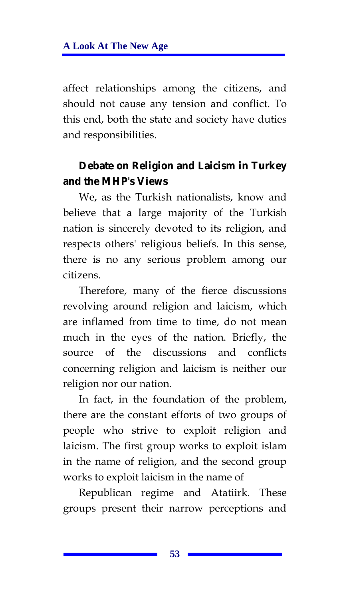affect relationships among the citizens, and should not cause any tension and conflict. To this end, both the state and society have duties and responsibilities.

#### **Debate on Religion and Laicism in Turkey and the MHP's Views**

We, as the Turkish nationalists, know and believe that a large majority of the Turkish nation is sincerely devoted to its religion, and respects others' religious beliefs. In this sense, there is no any serious problem among our citizens.

Therefore, many of the fierce discussions revolving around religion and laicism, which are inflamed from time to time, do not mean much in the eyes of the nation. Briefly, the source of the discussions and conflicts concerning religion and laicism is neither our religion nor our nation.

In fact, in the foundation of the problem, there are the constant efforts of two groups of people who strive to exploit religion and laicism. The first group works to exploit islam in the name of religion, and the second group works to exploit laicism in the name of

Republican regime and Atatiirk. These groups present their narrow perceptions and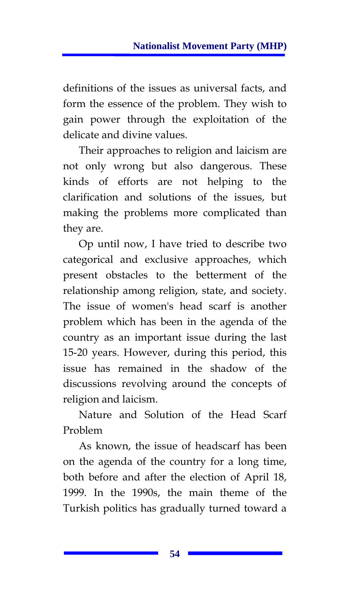definitions of the issues as universal facts, and form the essence of the problem. They wish to gain power through the exploitation of the delicate and divine values.

Their approaches to religion and laicism are not only wrong but also dangerous. These kinds of efforts are not helping to the clarification and solutions of the issues, but making the problems more complicated than they are.

Op until now, I have tried to describe two categorical and exclusive approaches, which present obstacles to the betterment of the relationship among religion, state, and society. The issue of women's head scarf is another problem which has been in the agenda of the country as an important issue during the last 15-20 years. However, during this period, this issue has remained in the shadow of the discussions revolving around the concepts of religion and laicism.

Nature and Solution of the Head Scarf Problem

As known, the issue of headscarf has been on the agenda of the country for a long time, both before and after the election of April 18, 1999. In the 1990s, the main theme of the Turkish politics has gradually turned toward a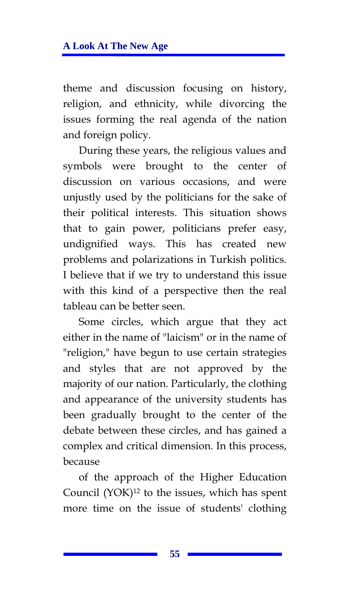theme and discussion focusing on history, religion, and ethnicity, while divorcing the issues forming the real agenda of the nation and foreign policy.

During these years, the religious values and symbols were brought to the center of discussion on various occasions, and were unjustly used by the politicians for the sake of their political interests. This situation shows that to gain power, politicians prefer easy, undignified ways. This has created new problems and polarizations in Turkish politics. I believe that if we try to understand this issue with this kind of a perspective then the real tableau can be better seen.

Some circles, which argue that they act either in the name of "laicism" or in the name of "religion," have begun to use certain strategies and styles that are not approved by the majority of our nation. Particularly, the clothing and appearance of the university students has been gradually brought to the center of the debate between these circles, and has gained a complex and critical dimension. In this process, because

of the approach of the Higher Education Council (YOK)12 to the issues, which has spent more time on the issue of students' clothing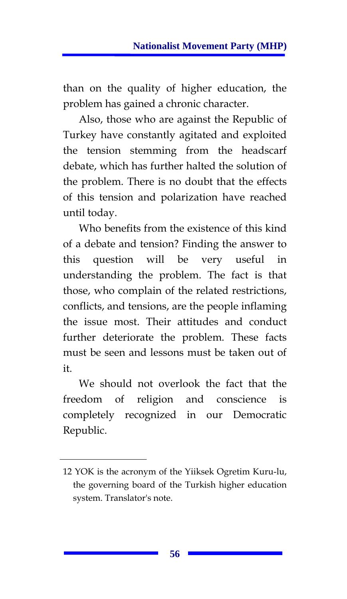than on the quality of higher education, the problem has gained a chronic character.

Also, those who are against the Republic of Turkey have constantly agitated and exploited the tension stemming from the headscarf debate, which has further halted the solution of the problem. There is no doubt that the effects of this tension and polarization have reached until today.

Who benefits from the existence of this kind of a debate and tension? Finding the answer to this question will be very useful in understanding the problem. The fact is that those, who complain of the related restrictions, conflicts, and tensions, are the people inflaming the issue most. Their attitudes and conduct further deteriorate the problem. These facts must be seen and lessons must be taken out of it.

We should not overlook the fact that the freedom of religion and conscience is completely recognized in our Democratic Republic.

<sup>12</sup> YOK is the acronym of the Yiiksek Ogretim Kuru-lu, the governing board of the Turkish higher education system. Translator's note.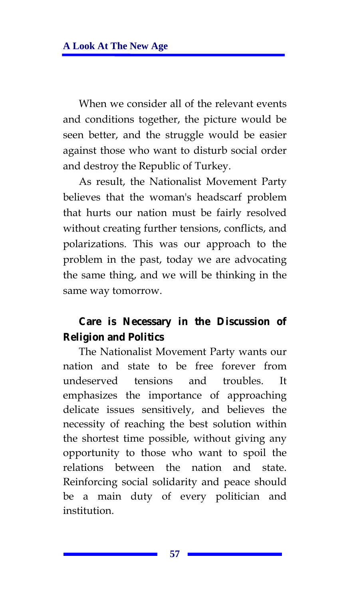When we consider all of the relevant events and conditions together, the picture would be seen better, and the struggle would be easier against those who want to disturb social order and destroy the Republic of Turkey.

As result, the Nationalist Movement Party believes that the woman's headscarf problem that hurts our nation must be fairly resolved without creating further tensions, conflicts, and polarizations. This was our approach to the problem in the past, today we are advocating the same thing, and we will be thinking in the same way tomorrow.

#### **Care is Necessary in the Discussion of Religion and Politics**

The Nationalist Movement Party wants our nation and state to be free forever from undeserved tensions and troubles. It emphasizes the importance of approaching delicate issues sensitively, and believes the necessity of reaching the best solution within the shortest time possible, without giving any opportunity to those who want to spoil the relations between the nation and state. Reinforcing social solidarity and peace should be a main duty of every politician and institution.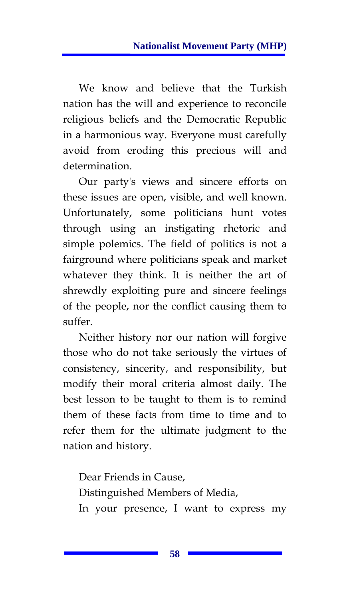We know and believe that the Turkish nation has the will and experience to reconcile religious beliefs and the Democratic Republic in a harmonious way. Everyone must carefully avoid from eroding this precious will and determination.

Our party's views and sincere efforts on these issues are open, visible, and well known. Unfortunately, some politicians hunt votes through using an instigating rhetoric and simple polemics. The field of politics is not a fairground where politicians speak and market whatever they think. It is neither the art of shrewdly exploiting pure and sincere feelings of the people, nor the conflict causing them to suffer.

Neither history nor our nation will forgive those who do not take seriously the virtues of consistency, sincerity, and responsibility, but modify their moral criteria almost daily. The best lesson to be taught to them is to remind them of these facts from time to time and to refer them for the ultimate judgment to the nation and history.

Dear Friends in Cause, Distinguished Members of Media, In your presence, I want to express my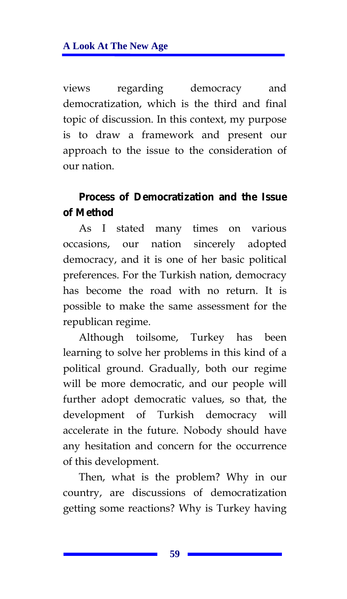views regarding democracy and democratization, which is the third and final topic of discussion. In this context, my purpose is to draw a framework and present our approach to the issue to the consideration of our nation.

### **Process of Democratization and the Issue of Method**

As I stated many times on various occasions, our nation sincerely adopted democracy, and it is one of her basic political preferences. For the Turkish nation, democracy has become the road with no return. It is possible to make the same assessment for the republican regime.

Although toilsome, Turkey has been learning to solve her problems in this kind of a political ground. Gradually, both our regime will be more democratic, and our people will further adopt democratic values, so that, the development of Turkish democracy will accelerate in the future. Nobody should have any hesitation and concern for the occurrence of this development.

Then, what is the problem? Why in our country, are discussions of democratization getting some reactions? Why is Turkey having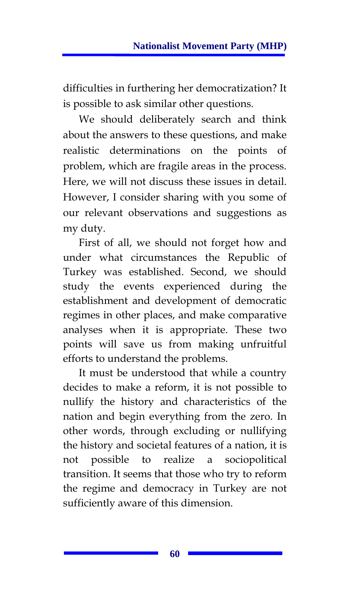difficulties in furthering her democratization? It is possible to ask similar other questions.

We should deliberately search and think about the answers to these questions, and make realistic determinations on the points of problem, which are fragile areas in the process. Here, we will not discuss these issues in detail. However, I consider sharing with you some of our relevant observations and suggestions as my duty.

First of all, we should not forget how and under what circumstances the Republic of Turkey was established. Second, we should study the events experienced during the establishment and development of democratic regimes in other places, and make comparative analyses when it is appropriate. These two points will save us from making unfruitful efforts to understand the problems.

It must be understood that while a country decides to make a reform, it is not possible to nullify the history and characteristics of the nation and begin everything from the zero. In other words, through excluding or nullifying the history and societal features of a nation, it is not possible to realize a sociopolitical transition. It seems that those who try to reform the regime and democracy in Turkey are not sufficiently aware of this dimension.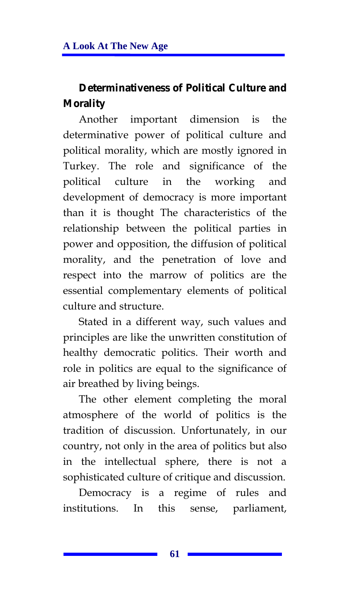# **Determinativeness of Political Culture and Morality**

Another important dimension is the determinative power of political culture and political morality, which are mostly ignored in Turkey. The role and significance of the political culture in the working and development of democracy is more important than it is thought The characteristics of the relationship between the political parties in power and opposition, the diffusion of political morality, and the penetration of love and respect into the marrow of politics are the essential complementary elements of political culture and structure.

Stated in a different way, such values and principles are like the unwritten constitution of healthy democratic politics. Their worth and role in politics are equal to the significance of air breathed by living beings.

The other element completing the moral atmosphere of the world of politics is the tradition of discussion. Unfortunately, in our country, not only in the area of politics but also in the intellectual sphere, there is not a sophisticated culture of critique and discussion.

Democracy is a regime of rules and institutions. In this sense, parliament,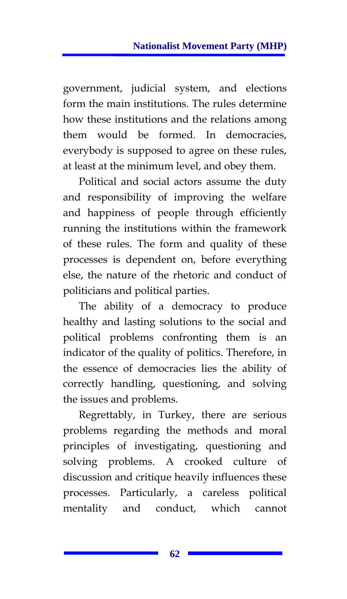government, judicial system, and elections form the main institutions. The rules determine how these institutions and the relations among them would be formed. In democracies, everybody is supposed to agree on these rules, at least at the minimum level, and obey them.

Political and social actors assume the duty and responsibility of improving the welfare and happiness of people through efficiently running the institutions within the framework of these rules. The form and quality of these processes is dependent on, before everything else, the nature of the rhetoric and conduct of politicians and political parties.

The ability of a democracy to produce healthy and lasting solutions to the social and political problems confronting them is an indicator of the quality of politics. Therefore, in the essence of democracies lies the ability of correctly handling, questioning, and solving the issues and problems.

Regrettably, in Turkey, there are serious problems regarding the methods and moral principles of investigating, questioning and solving problems. A crooked culture of discussion and critique heavily influences these processes. Particularly, a careless political mentality and conduct, which cannot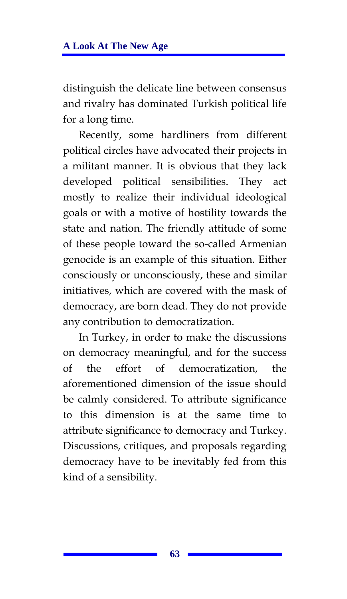distinguish the delicate line between consensus and rivalry has dominated Turkish political life for a long time.

Recently, some hardliners from different political circles have advocated their projects in a militant manner. It is obvious that they lack developed political sensibilities. They act mostly to realize their individual ideological goals or with a motive of hostility towards the state and nation. The friendly attitude of some of these people toward the so-called Armenian genocide is an example of this situation. Either consciously or unconsciously, these and similar initiatives, which are covered with the mask of democracy, are born dead. They do not provide any contribution to democratization.

In Turkey, in order to make the discussions on democracy meaningful, and for the success of the effort of democratization, the aforementioned dimension of the issue should be calmly considered. To attribute significance to this dimension is at the same time to attribute significance to democracy and Turkey. Discussions, critiques, and proposals regarding democracy have to be inevitably fed from this kind of a sensibility.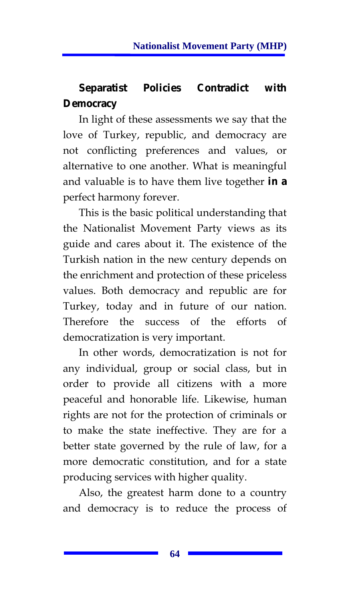# **Separatist Policies Contradict with Democracy**

In light of these assessments we say that the love of Turkey, republic, and democracy are not conflicting preferences and values, or alternative to one another. What is meaningful and valuable is to have them live together **in a**  perfect harmony forever.

This is the basic political understanding that the Nationalist Movement Party views as its guide and cares about it. The existence of the Turkish nation in the new century depends on the enrichment and protection of these priceless values. Both democracy and republic are for Turkey, today and in future of our nation. Therefore the success of the efforts of democratization is very important.

In other words, democratization is not for any individual, group or social class, but in order to provide all citizens with a more peaceful and honorable life. Likewise, human rights are not for the protection of criminals or to make the state ineffective. They are for a better state governed by the rule of law, for a more democratic constitution, and for a state producing services with higher quality.

Also, the greatest harm done to a country and democracy is to reduce the process of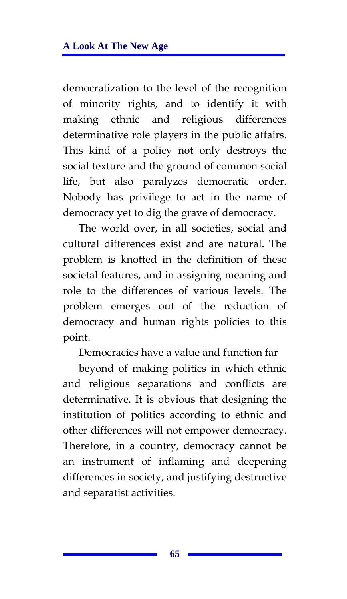democratization to the level of the recognition of minority rights, and to identify it with making ethnic and religious differences determinative role players in the public affairs. This kind of a policy not only destroys the social texture and the ground of common social life, but also paralyzes democratic order. Nobody has privilege to act in the name of democracy yet to dig the grave of democracy.

The world over, in all societies, social and cultural differences exist and are natural. The problem is knotted in the definition of these societal features, and in assigning meaning and role to the differences of various levels. The problem emerges out of the reduction of democracy and human rights policies to this point.

Democracies have a value and function far

beyond of making politics in which ethnic and religious separations and conflicts are determinative. It is obvious that designing the institution of politics according to ethnic and other differences will not empower democracy. Therefore, in a country, democracy cannot be an instrument of inflaming and deepening differences in society, and justifying destructive and separatist activities.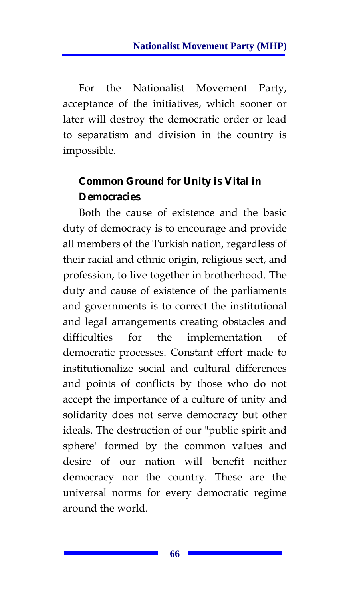For the Nationalist Movement Party, acceptance of the initiatives, which sooner or later will destroy the democratic order or lead to separatism and division in the country is impossible.

# **Common Ground for Unity is Vital in Democracies**

Both the cause of existence and the basic duty of democracy is to encourage and provide all members of the Turkish nation, regardless of their racial and ethnic origin, religious sect, and profession, to live together in brotherhood. The duty and cause of existence of the parliaments and governments is to correct the institutional and legal arrangements creating obstacles and difficulties for the implementation of democratic processes. Constant effort made to institutionalize social and cultural differences and points of conflicts by those who do not accept the importance of a culture of unity and solidarity does not serve democracy but other ideals. The destruction of our "public spirit and sphere" formed by the common values and desire of our nation will benefit neither democracy nor the country. These are the universal norms for every democratic regime around the world.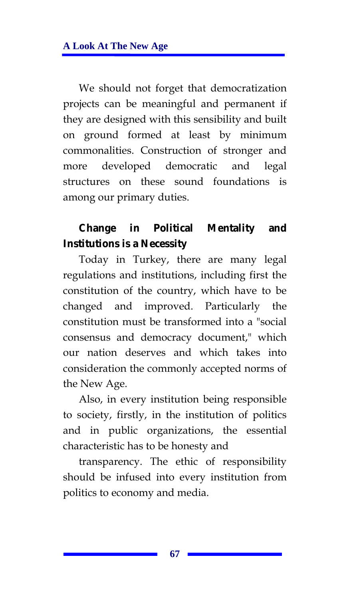We should not forget that democratization projects can be meaningful and permanent if they are designed with this sensibility and built on ground formed at least by minimum commonalities. Construction of stronger and more developed democratic and legal structures on these sound foundations is among our primary duties.

### **Change in Political Mentality and Institutions is a Necessity**

Today in Turkey, there are many legal regulations and institutions, including first the constitution of the country, which have to be changed and improved. Particularly the constitution must be transformed into a "social consensus and democracy document," which our nation deserves and which takes into consideration the commonly accepted norms of the New Age.

Also, in every institution being responsible to society, firstly, in the institution of politics and in public organizations, the essential characteristic has to be honesty and

transparency. The ethic of responsibility should be infused into every institution from politics to economy and media.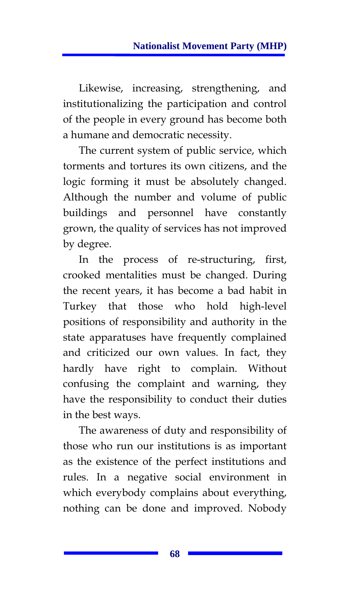Likewise, increasing, strengthening, and institutionalizing the participation and control of the people in every ground has become both a humane and democratic necessity.

The current system of public service, which torments and tortures its own citizens, and the logic forming it must be absolutely changed. Although the number and volume of public buildings and personnel have constantly grown, the quality of services has not improved by degree.

In the process of re-structuring, first, crooked mentalities must be changed. During the recent years, it has become a bad habit in Turkey that those who hold high-level positions of responsibility and authority in the state apparatuses have frequently complained and criticized our own values. In fact, they hardly have right to complain. Without confusing the complaint and warning, they have the responsibility to conduct their duties in the best ways.

The awareness of duty and responsibility of those who run our institutions is as important as the existence of the perfect institutions and rules. In a negative social environment in which everybody complains about everything, nothing can be done and improved. Nobody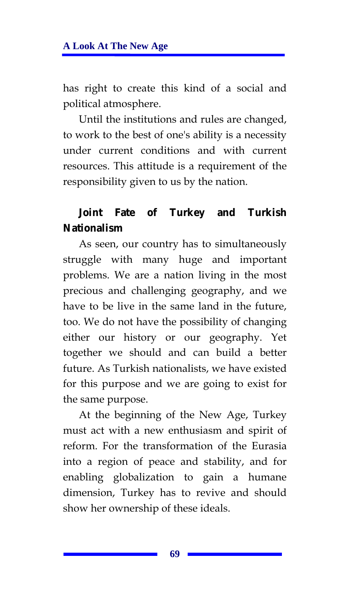has right to create this kind of a social and political atmosphere.

Until the institutions and rules are changed, to work to the best of one's ability is a necessity under current conditions and with current resources. This attitude is a requirement of the responsibility given to us by the nation.

## **Joint Fate of Turkey and Turkish Nationalism**

As seen, our country has to simultaneously struggle with many huge and important problems. We are a nation living in the most precious and challenging geography, and we have to be live in the same land in the future, too. We do not have the possibility of changing either our history or our geography. Yet together we should and can build a better future. As Turkish nationalists, we have existed for this purpose and we are going to exist for the same purpose.

At the beginning of the New Age, Turkey must act with a new enthusiasm and spirit of reform. For the transformation of the Eurasia into a region of peace and stability, and for enabling globalization to gain a humane dimension, Turkey has to revive and should show her ownership of these ideals.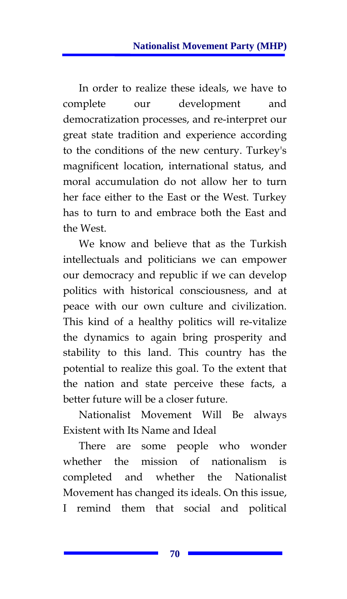In order to realize these ideals, we have to complete our development and democratization processes, and re-interpret our great state tradition and experience according to the conditions of the new century. Turkey's magnificent location, international status, and moral accumulation do not allow her to turn her face either to the East or the West. Turkey has to turn to and embrace both the East and the West.

We know and believe that as the Turkish intellectuals and politicians we can empower our democracy and republic if we can develop politics with historical consciousness, and at peace with our own culture and civilization. This kind of a healthy politics will re-vitalize the dynamics to again bring prosperity and stability to this land. This country has the potential to realize this goal. To the extent that the nation and state perceive these facts, a better future will be a closer future.

Nationalist Movement Will Be always Existent with Its Name and Ideal

There are some people who wonder whether the mission of nationalism is completed and whether the Nationalist Movement has changed its ideals. On this issue, I remind them that social and political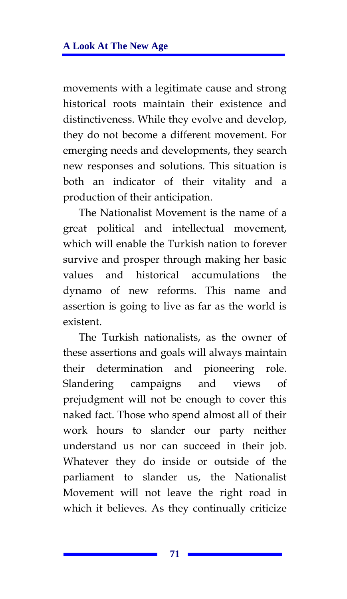movements with a legitimate cause and strong historical roots maintain their existence and distinctiveness. While they evolve and develop, they do not become a different movement. For emerging needs and developments, they search new responses and solutions. This situation is both an indicator of their vitality and a production of their anticipation.

The Nationalist Movement is the name of a great political and intellectual movement, which will enable the Turkish nation to forever survive and prosper through making her basic values and historical accumulations the dynamo of new reforms. This name and assertion is going to live as far as the world is existent.

The Turkish nationalists, as the owner of these assertions and goals will always maintain their determination and pioneering role. Slandering campaigns and views of prejudgment will not be enough to cover this naked fact. Those who spend almost all of their work hours to slander our party neither understand us nor can succeed in their job. Whatever they do inside or outside of the parliament to slander us, the Nationalist Movement will not leave the right road in which it believes. As they continually criticize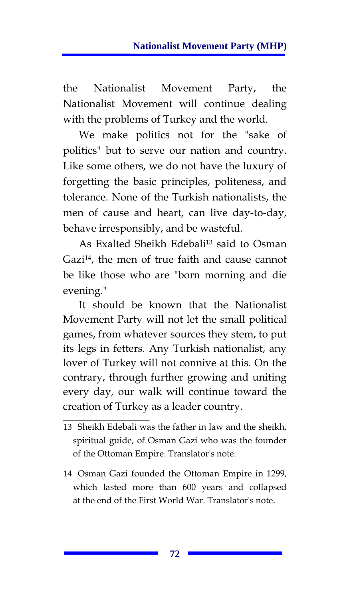the Nationalist Movement Party, the Nationalist Movement will continue dealing with the problems of Turkey and the world.

We make politics not for the "sake of politics" but to serve our nation and country. Like some others, we do not have the luxury of forgetting the basic principles, politeness, and tolerance. None of the Turkish nationalists, the men of cause and heart, can live day-to-day, behave irresponsibly, and be wasteful.

As Exalted Sheikh Edebali<sup>13</sup> said to Osman Gazi<sup>14</sup>, the men of true faith and cause cannot be like those who are "born morning and die evening."

It should be known that the Nationalist Movement Party will not let the small political games, from whatever sources they stem, to put its legs in fetters. Any Turkish nationalist, any lover of Turkey will not connive at this. On the contrary, through further growing and uniting every day, our walk will continue toward the creation of Turkey as a leader country.

<sup>13</sup> Sheikh Edebali was the father in law and the sheikh, spiritual guide, of Osman Gazi who was the founder of the Ottoman Empire. Translator's note.

<sup>14</sup> Osman Gazi founded the Ottoman Empire in 1299, which lasted more than 600 years and collapsed at the end of the First World War. Translator's note.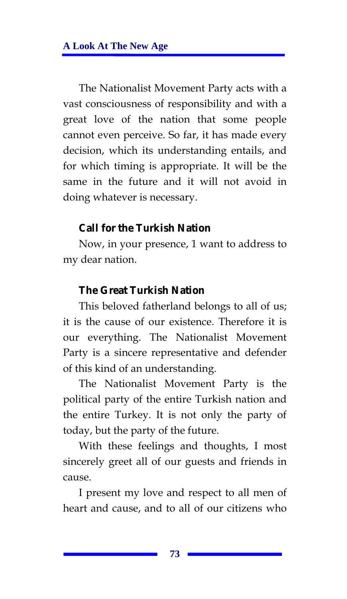The Nationalist Movement Party acts with a vast consciousness of responsibility and with a great love of the nation that some people cannot even perceive. So far, it has made every decision, which its understanding entails, and for which timing is appropriate. It will be the same in the future and it will not avoid in doing whatever is necessary.

#### **Call for the Turkish Nation**

Now, in your presence, 1 want to address to my dear nation.

### **The Great Turkish Nation**

This beloved fatherland belongs to all of us; it is the cause of our existence. Therefore it is our everything. The Nationalist Movement Party is a sincere representative and defender of this kind of an understanding.

The Nationalist Movement Party is the political party of the entire Turkish nation and the entire Turkey. It is not only the party of today, but the party of the future.

With these feelings and thoughts, I most sincerely greet all of our guests and friends in cause.

I present my love and respect to all men of heart and cause, and to all of our citizens who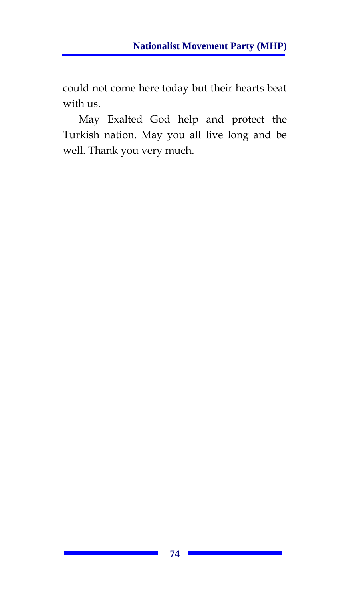could not come here today but their hearts beat with us.

May Exalted God help and protect the Turkish nation. May you all live long and be well. Thank you very much.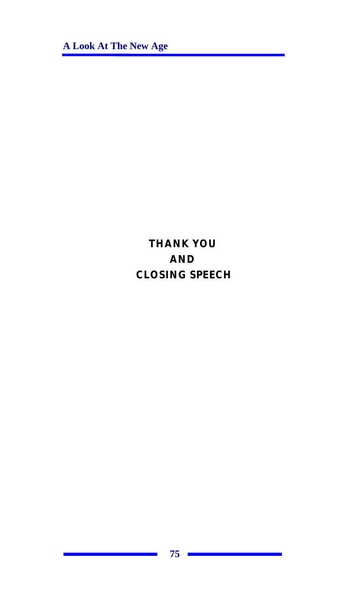**A Look At The New Age** 

# **THANK YOU AND CLOSING SPEECH**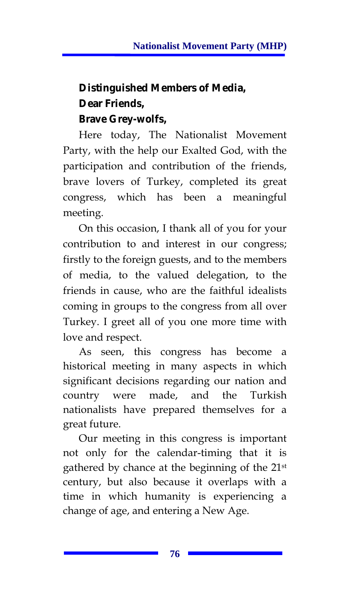# **Distinguished Members of Media, Dear Friends, Brave Grey-wolfs,**

Here today, The Nationalist Movement Party, with the help our Exalted God, with the participation and contribution of the friends, brave lovers of Turkey, completed its great congress, which has been a meaningful meeting.

On this occasion, I thank all of you for your contribution to and interest in our congress; firstly to the foreign guests, and to the members of media, to the valued delegation, to the friends in cause, who are the faithful idealists coming in groups to the congress from all over Turkey. I greet all of you one more time with love and respect.

As seen, this congress has become a historical meeting in many aspects in which significant decisions regarding our nation and country were made, and the Turkish nationalists have prepared themselves for a great future.

Our meeting in this congress is important not only for the calendar-timing that it is gathered by chance at the beginning of the 21st century, but also because it overlaps with a time in which humanity is experiencing a change of age, and entering a New Age.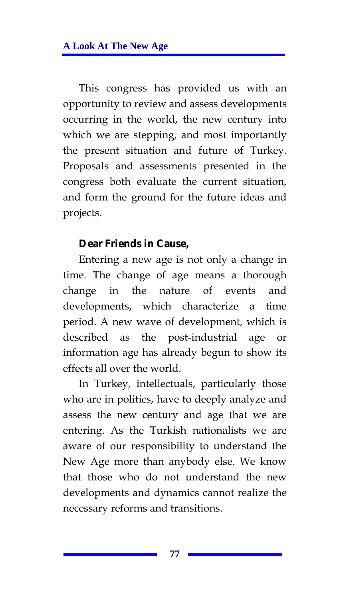This congress has provided us with an opportunity to review and assess developments occurring in the world, the new century into which we are stepping, and most importantly the present situation and future of Turkey. Proposals and assessments presented in the congress both evaluate the current situation, and form the ground for the future ideas and projects.

#### **Dear Friends in Cause,**

Entering a new age is not only a change in time. The change of age means a thorough change in the nature of events and developments, which characterize a time period. A new wave of development, which is described as the post-industrial age or information age has already begun to show its effects all over the world.

In Turkey, intellectuals, particularly those who are in politics, have to deeply analyze and assess the new century and age that we are entering. As the Turkish nationalists we are aware of our responsibility to understand the New Age more than anybody else. We know that those who do not understand the new developments and dynamics cannot realize the necessary reforms and transitions.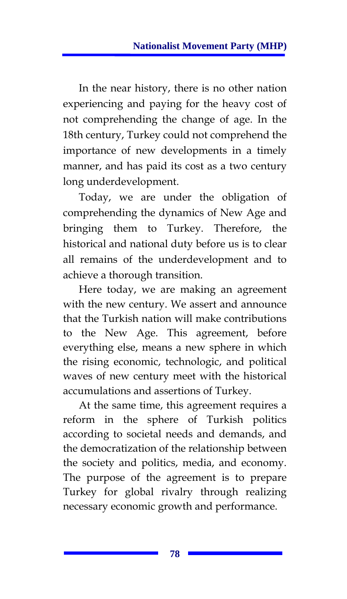In the near history, there is no other nation experiencing and paying for the heavy cost of not comprehending the change of age. In the 18th century, Turkey could not comprehend the importance of new developments in a timely manner, and has paid its cost as a two century long underdevelopment.

Today, we are under the obligation of comprehending the dynamics of New Age and bringing them to Turkey. Therefore, the historical and national duty before us is to clear all remains of the underdevelopment and to achieve a thorough transition.

Here today, we are making an agreement with the new century. We assert and announce that the Turkish nation will make contributions to the New Age. This agreement, before everything else, means a new sphere in which the rising economic, technologic, and political waves of new century meet with the historical accumulations and assertions of Turkey.

At the same time, this agreement requires a reform in the sphere of Turkish politics according to societal needs and demands, and the democratization of the relationship between the society and politics, media, and economy. The purpose of the agreement is to prepare Turkey for global rivalry through realizing necessary economic growth and performance.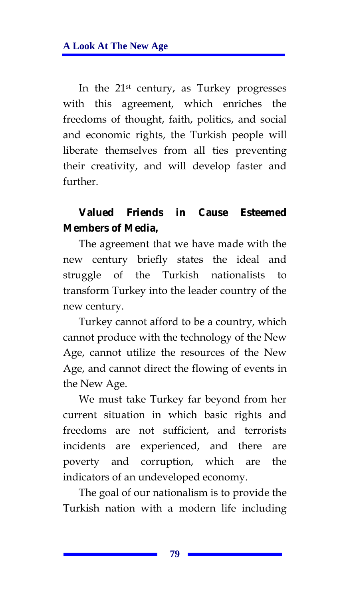In the 21st century, as Turkey progresses with this agreement, which enriches the freedoms of thought, faith, politics, and social and economic rights, the Turkish people will liberate themselves from all ties preventing their creativity, and will develop faster and further.

## **Valued Friends in Cause Esteemed Members of Media,**

The agreement that we have made with the new century briefly states the ideal and struggle of the Turkish nationalists to transform Turkey into the leader country of the new century.

Turkey cannot afford to be a country, which cannot produce with the technology of the New Age, cannot utilize the resources of the New Age, and cannot direct the flowing of events in the New Age.

We must take Turkey far beyond from her current situation in which basic rights and freedoms are not sufficient, and terrorists incidents are experienced, and there are poverty and corruption, which are the indicators of an undeveloped economy.

The goal of our nationalism is to provide the Turkish nation with a modern life including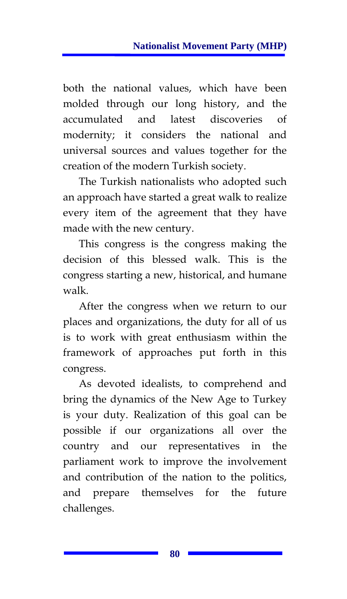both the national values, which have been molded through our long history, and the accumulated and latest discoveries of modernity; it considers the national and universal sources and values together for the creation of the modern Turkish society.

The Turkish nationalists who adopted such an approach have started a great walk to realize every item of the agreement that they have made with the new century.

This congress is the congress making the decision of this blessed walk. This is the congress starting a new, historical, and humane walk.

After the congress when we return to our places and organizations, the duty for all of us is to work with great enthusiasm within the framework of approaches put forth in this congress.

As devoted idealists, to comprehend and bring the dynamics of the New Age to Turkey is your duty. Realization of this goal can be possible if our organizations all over the country and our representatives in the parliament work to improve the involvement and contribution of the nation to the politics, and prepare themselves for the future challenges.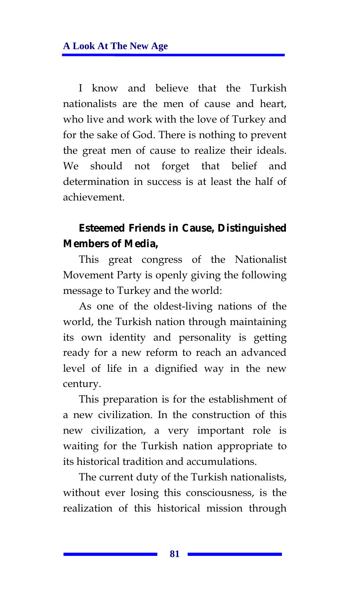I know and believe that the Turkish nationalists are the men of cause and heart, who live and work with the love of Turkey and for the sake of God. There is nothing to prevent the great men of cause to realize their ideals. We should not forget that belief and determination in success is at least the half of achievement.

## **Esteemed Friends in Cause, Distinguished Members of Media,**

This great congress of the Nationalist Movement Party is openly giving the following message to Turkey and the world:

As one of the oldest-living nations of the world, the Turkish nation through maintaining its own identity and personality is getting ready for a new reform to reach an advanced level of life in a dignified way in the new century.

This preparation is for the establishment of a new civilization. In the construction of this new civilization, a very important role is waiting for the Turkish nation appropriate to its historical tradition and accumulations.

The current duty of the Turkish nationalists, without ever losing this consciousness, is the realization of this historical mission through